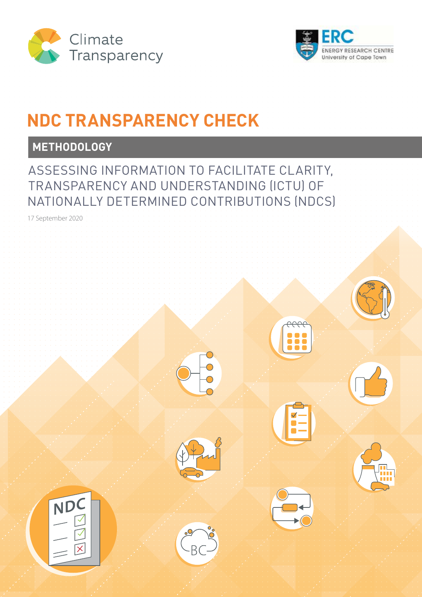



## **NDC TRANSPARENCY CHECK**

## **METHODOLOGY**

ASSESSING INFORMATION TO FACILITATE CLARITY, TRANSPARENCY AND UNDERSTANDING (ICTU) OF NATIONALLY DETERMINED CONTRIBUTIONS (NDCS)

17 September 2020

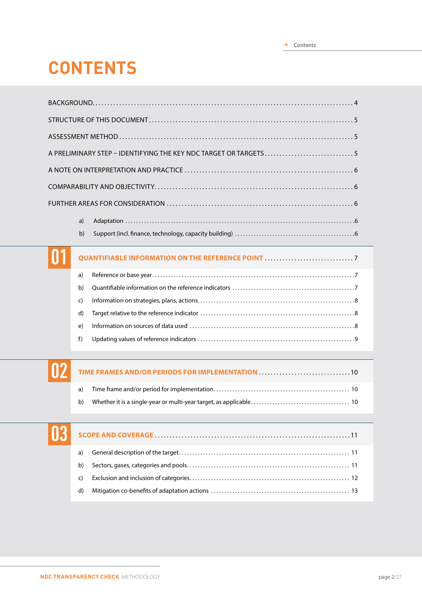# **CONTENTS**

| A PRELIMINARY STEP - IDENTIFYING THE KEY NDC TARGET OR TARGETS5 |  |
|-----------------------------------------------------------------|--|
|                                                                 |  |
|                                                                 |  |
|                                                                 |  |
|                                                                 |  |
|                                                                 |  |
|                                                                 |  |
| a)                                                              |  |
|                                                                 |  |

b) Support (incl. finance, technology, capacity building). . 6

## **QUANTIFIABLE INFORMATION ON THE REFERENCE POINT**. . 7 a) Reference or base year. . 7 b) Quantifiable information on the reference indicators. . 7 c) Information on strategies, plans, actions. . 8 d) Target relative to the reference indicator. . 8 e) Information on sources of data used. . 8 f) Updating values of reference indicators. . 9

| nn | TIME FRAMES AND/OR PERIODS FOR IMPLEMENTATION AUTOROUS CONTINUES. |
|----|-------------------------------------------------------------------|
|----|-------------------------------------------------------------------|

a) Time frame and/or period for implementation. . . 10 b) Whether it is a single-year or multi-year target, as applicable. . . 10



**01**

## **SCOPE AND COVERAGE**. 11 a) General description of the target. . . 11 b) Sectors, gases, categories and pools. . . 11 c) Exclusion and inclusion of categories. . . 12 d) Mitigation co-benefits of adaptation actions. . . 13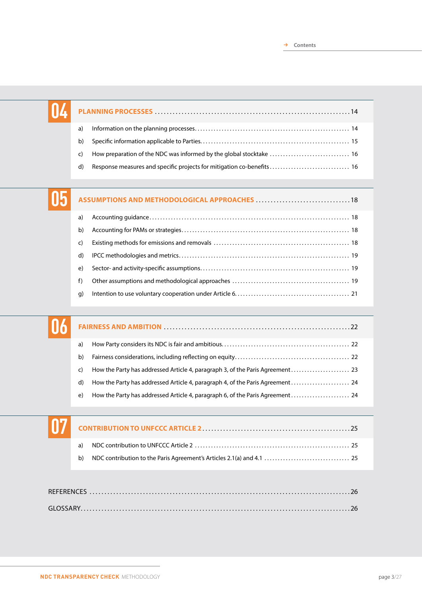| a) |  |
|----|--|
| b) |  |
| C) |  |
| d) |  |

|              | ASSUMPTIONS AND METHODOLOGICAL APPROACHES  18 |
|--------------|-----------------------------------------------|
| a)           |                                               |
| b)           |                                               |
| C)           |                                               |
| $\mathsf{d}$ |                                               |
| e)           |                                               |
| f)           |                                               |
| q)           |                                               |

| a) |                                                                               |
|----|-------------------------------------------------------------------------------|
| b) |                                                                               |
| C) |                                                                               |
| d) | How the Party has addressed Article 4, paragraph 4, of the Paris Agreement 24 |
| e) |                                                                               |

**05**

**06**

**07**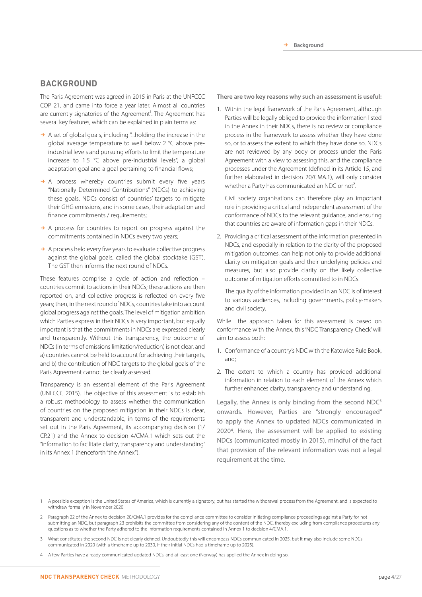#### **BACKGROUND**

The Paris Agreement was agreed in 2015 in Paris at the UNFCCC COP 21, and came into force a year later. Almost all countries are currently signatories of the Agreement<sup>1</sup>. The Agreement has several key features, which can be explained in plain terms as:

- $\rightarrow$  A set of global goals, including "...holding the increase in the global average temperature to well below 2 °C above preindustrial levels and pursuing efforts to limit the temperature increase to 1.5 °C above pre-industrial levels", a global adaptation goal and a goal pertaining to financial flows;
- $\rightarrow$  A process whereby countries submit every five years "Nationally Determined Contributions" (NDCs) to achieving these goals. NDCs consist of countries' targets to mitigate their GHG emissions, and in some cases, their adaptation and finance commitments / requirements:
- $\rightarrow$  A process for countries to report on progress against the commitments contained in NDCs every two years;
- $\rightarrow$  A process held every five years to evaluate collective progress against the global goals, called the global stocktake (GST). The GST then informs the next round of NDCs.

These features comprise a cycle of action and reflection – countries commit to actions in their NDCs; these actions are then reported on, and collective progress is reflected on every five years; then, in the next round of NDCs, countries take into account global progress against the goals. The level of mitigation ambition which Parties express in their NDCs is very important, but equally important is that the commitments in NDCs are expressed clearly and transparently. Without this transparency, the outcome of NDCs (in terms of emissions limitation/reduction) is not clear, and a) countries cannot be held to account for achieving their targets, and b) the contribution of NDC targets to the global goals of the Paris Agreement cannot be clearly assessed.

Transparency is an essential element of the Paris Agreement (UNFCCC 2015). The objective of this assessment is to establish a robust methodology to assess whether the communication of countries on the proposed mitigation in their NDCs is clear, transparent and understandable, in terms of the requirements set out in the Paris Agreement, its accompanying decision (1/ CP.21) and the Annex to decision 4/CMA.1 which sets out the "information to facilitate clarity, transparency and understanding" in its Annex 1 (henceforth "the Annex").

**There are two key reasons why such an assessment is useful:**

1. Within the legal framework of the Paris Agreement, although Parties will be legally obliged to provide the information listed in the Annex in their NDCs, there is no review or compliance process in the framework to assess whether they have done so, or to assess the extent to which they have done so. NDCs are not reviewed by any body or process under the Paris Agreement with a view to assessing this, and the compliance processes under the Agreement (defined in its Article 15, and further elaborated in decision 20/CMA.1), will only consider whether a Party has communicated an NDC or not<sup>2</sup>.

 Civil society organisations can therefore play an important role in providing a critical and independent assessment of the conformance of NDCs to the relevant guidance, and ensuring that countries are aware of information gaps in their NDCs.

2. Providing a critical assessment of the information presented in NDCs, and especially in relation to the clarity of the proposed mitigation outcomes, can help not only to provide additional clarity on mitigation goals and their underlying policies and measures, but also provide clarity on the likely collective outcome of mitigation efforts committed to in NDCs.

 The quality of the information provided in an NDC is of interest to various audiences, including governments, policy-makers and civil society.

While the approach taken for this assessment is based on conformance with the Annex, this 'NDC Transparency Check' will aim to assess both:

- 1. Conformance of a country's NDC with the Katowice Rule Book, and;
- 2. The extent to which a country has provided additional information in relation to each element of the Annex which further enhances clarity, transparency and understanding.

Legally, the Annex is only binding from the second  $NDC<sup>3</sup>$ onwards. However, Parties are "strongly encouraged" to apply the Annex to updated NDCs communicated in 20204. Here, the assessment will be applied to existing NDCs (communicated mostly in 2015), mindful of the fact that provision of the relevant information was not a legal requirement at the time.

- 1 A possible exception is the United States of America, which is currently a signatory, but has started the withdrawal process from the Agreement, and is expected to withdraw formally in November 2020.
- Paragraph 22 of the Annex to decision 20/CMA.1 provides for the compliance committee to consider initiating compliance proceedings against a Party for not submitting an NDC, but paragraph 23 prohibits the committee from considering any of the content of the NDC, thereby excluding from compliance procedures any questions as to whether the Party adhered to the information requirements contained in Annex 1 to decision 4/CMA.1.
- 3 What constitutes the second NDC is not clearly defined. Undoubtedly this will encompass NDCs communicated in 2025, but it may also include some NDCs communicated in 2020 (with a timeframe up to 2030, if their initial NDCs had a timeframe up to 2025).
- 4 A few Parties have already communicated updated NDCs, and at least one (Norway) has applied the Annex in doing so.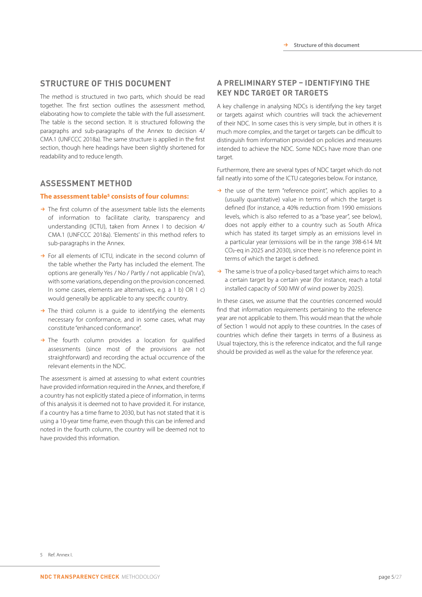#### **STRUCTURE OF THIS DOCUMENT**

The method is structured in two parts, which should be read together. The first section outlines the assessment method, elaborating how to complete the table with the full assessment. The table is the second section. It is structured following the paragraphs and sub-paragraphs of the Annex to decision 4/ CMA.1 (UNFCCC 2018a). The same structure is applied in the first section, though here headings have been slightly shortened for readability and to reduce length.

#### **ASSESSMENT METHOD**

#### **The assessment table5 consists of four columns:**

- $\rightarrow$  The first column of the assessment table lists the elements of information to facilitate clarity, transparency and understanding (ICTU), taken from Annex I to decision 4/ CMA.1 (UNFCCC 2018a). 'Elements' in this method refers to sub-paragraphs in the Annex.
- $\rightarrow$  For all elements of ICTU, indicate in the second column of the table whether the Party has included the element. The options are generally Yes / No / Partly / not applicable ('n/a'), with some variations, depending on the provision concerned. In some cases, elements are alternatives, e.g. a 1 b) OR 1 c) would generally be applicable to any specific country.
- $\rightarrow$  The third column is a quide to identifying the elements necessary for conformance, and in some cases, what may constitute "enhanced conformance".
- $\rightarrow$  The fourth column provides a location for qualified assessments (since most of the provisions are not straightforward) and recording the actual occurrence of the relevant elements in the NDC.

The assessment is aimed at assessing to what extent countries have provided information required in the Annex, and therefore, if a country has not explicitly stated a piece of information, in terms of this analysis it is deemed not to have provided it. For instance, if a country has a time frame to 2030, but has not stated that it is using a 10-year time frame, even though this can be inferred and noted in the fourth column, the country will be deemed not to have provided this information.

### **A PRELIMINARY STEP – IDENTIFYING THE KEY NDC TARGET OR TARGETS**

A key challenge in analysing NDCs is identifying the key target or targets against which countries will track the achievement of their NDC. In some cases this is very simple, but in others it is much more complex, and the target or targets can be difficult to distinguish from information provided on policies and measures intended to achieve the NDC. Some NDCs have more than one target.

Furthermore, there are several types of NDC target which do not fall neatly into some of the ICTU categories below. For instance,

- $\rightarrow$  the use of the term "reference point", which applies to a (usually quantitative) value in terms of which the target is defined (for instance, a 40% reduction from 1990 emissions levels, which is also referred to as a "base year", see below), does not apply either to a country such as South Africa which has stated its target simply as an emissions level in a particular year (emissions will be in the range 398-614 Mt CO2-eq in 2025 and 2030), since there is no reference point in terms of which the target is defined.
- $\rightarrow$  The same is true of a policy-based target which aims to reach a certain target by a certain year (for instance, reach a total installed capacity of 500 MW of wind power by 2025).

In these cases, we assume that the countries concerned would find that information requirements pertaining to the reference year are not applicable to them. This would mean that the whole of Section 1 would not apply to these countries. In the cases of countries which define their targets in terms of a Business as Usual trajectory, this is the reference indicator, and the full range should be provided as well as the value for the reference year.

<sup>5</sup> Ref. Annex I.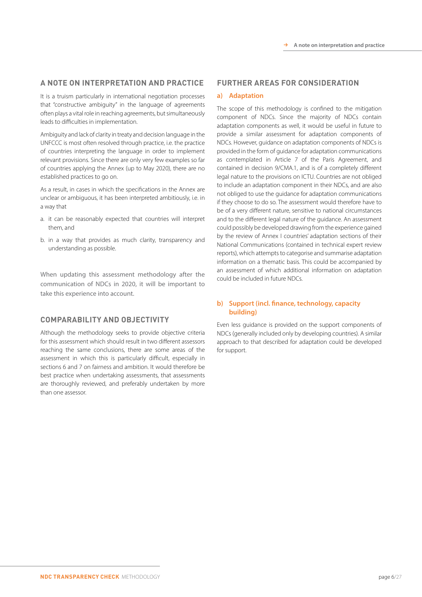#### **A NOTE ON INTERPRETATION AND PRACTICE**

It is a truism particularly in international negotiation processes that "constructive ambiguity" in the language of agreements often plays a vital role in reaching agreements, but simultaneously leads to difficulties in implementation.

Ambiguity and lack of clarity in treaty and decision language in the UNFCCC is most often resolved through practice, i.e. the practice of countries interpreting the language in order to implement relevant provisions. Since there are only very few examples so far of countries applying the Annex (up to May 2020), there are no established practices to go on.

As a result, in cases in which the specifications in the Annex are unclear or ambiguous, it has been interpreted ambitiously, i.e. in a way that

- a. it can be reasonably expected that countries will interpret them, and
- b. in a way that provides as much clarity, transparency and understanding as possible.

When updating this assessment methodology after the communication of NDCs in 2020, it will be important to take this experience into account.

#### **COMPARABILITY AND OBJECTIVITY**

Although the methodology seeks to provide objective criteria for this assessment which should result in two different assessors reaching the same conclusions, there are some areas of the assessment in which this is particularly difficult, especially in sections 6 and 7 on fairness and ambition. It would therefore be best practice when undertaking assessments, that assessments are thoroughly reviewed, and preferably undertaken by more than one assessor.

#### **FURTHER AREAS FOR CONSIDERATION**

#### **a) Adaptation**

The scope of this methodology is confined to the mitigation component of NDCs. Since the majority of NDCs contain adaptation components as well, it would be useful in future to provide a similar assessment for adaptation components of NDCs. However, guidance on adaptation components of NDCs is provided in the form of guidance for adaptation communications as contemplated in Article 7 of the Paris Agreement, and contained in decision 9/CMA.1, and is of a completely different legal nature to the provisions on ICTU. Countries are not obliged to include an adaptation component in their NDCs, and are also not obliged to use the guidance for adaptation communications if they choose to do so. The assessment would therefore have to be of a very different nature, sensitive to national circumstances and to the different legal nature of the guidance. An assessment could possibly be developed drawing from the experience gained by the review of Annex I countries' adaptation sections of their National Communications (contained in technical expert review reports), which attempts to categorise and summarise adaptation information on a thematic basis. This could be accompanied by an assessment of which additional information on adaptation could be included in future NDCs.

#### **b) Support (incl. finance, technology, capacity building)**

Even less guidance is provided on the support components of NDCs (generally included only by developing countries). A similar approach to that described for adaptation could be developed for support.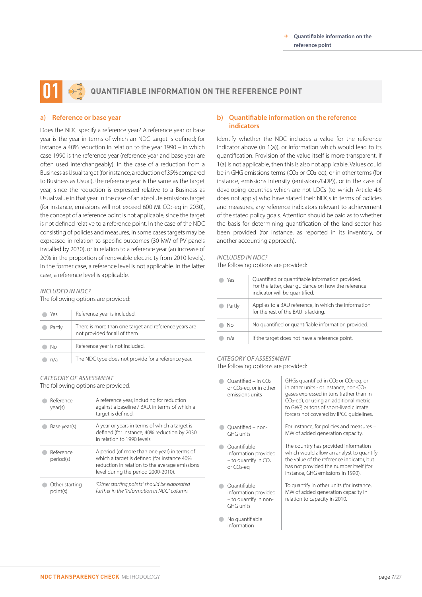## **QUANTIFIABLE INFORMATION ON THE REFERENCE POINT 01**

#### **a) Reference or base year**

Does the NDC specify a reference year? A reference year or base year is the year in terms of which an NDC target is defined; for instance a 40% reduction in relation to the year 1990 – in which case 1990 is the reference year (reference year and base year are often used interchangeably). In the case of a reduction from a Business as Usual target (for instance, a reduction of 35% compared to Business as Usual), the reference year is the same as the target year, since the reduction is expressed relative to a Business as Usual value in that year. In the case of an absolute emissions target (for instance, emissions will not exceed 600 Mt CO2-eq in 2030), the concept of a reference point is not applicable, since the target is not defined relative to a reference point. In the case of the NDC consisting of policies and measures, in some cases targets may be expressed in relation to specific outcomes (30 MW of PV panels installed by 2030), or in relation to a reference year (an increase of 20% in the proportion of renewable electricity from 2010 levels). In the former case, a reference level is not applicable. In the latter case, a reference level is applicable.

#### *INCLUDED IN NDC?*

The following options are provided:

| Yeς    | Reference year is included.                                                            |
|--------|----------------------------------------------------------------------------------------|
| Partly | There is more than one target and reference years are<br>not provided for all of them. |
| Nο     | Reference year is not included.                                                        |
| n/a    | The NDC type does not provide for a reference year.                                    |

#### *CATEGORY OF ASSESSMENT*

The following options are provided:

| Reference<br>year(s)       | A reference year, including for reduction<br>against a baseline / BAU, in terms of which a<br>target is defined.                                                                     |
|----------------------------|--------------------------------------------------------------------------------------------------------------------------------------------------------------------------------------|
| Base year(s)               | A year or years in terms of which a target is<br>defined (for instance, 40% reduction by 2030<br>in relation to 1990 levels                                                          |
| Reference<br>period(s)     | A period (of more than one year) in terms of<br>which a target is defined (for instance 40%<br>reduction in relation to the average emissions<br>level during the period 2000-2010). |
| Other starting<br>point(s) | "Other starting points" should be elaborated<br>further in the "information in NDC" column.                                                                                          |

#### **b) Quantifiable information on the reference indicators**

Identify whether the NDC includes a value for the reference indicator above (in 1(a)), or information which would lead to its quantification. Provision of the value itself is more transparent. If 1(a) is not applicable, then this is also not applicable. Values could be in GHG emissions terms (CO<sub>2</sub> or CO<sub>2</sub>-eq), or in other terms (for instance, emissions intensity (emissions/GDP)), or in the case of developing countries which are not LDCs (to which Article 4.6 does not apply) who have stated their NDCs in terms of policies and measures, any reference indicators relevant to achievement of the stated policy goals. Attention should be paid as to whether the basis for determining quantification of the land sector has been provided (for instance, as reported in its inventory, or another accounting approach).

#### *INCLUDED IN NDC?*

The following options are provided:

| Yes    | Quantified or quantifiable information provided.<br>For the latter, clear quidance on how the reference<br>indicator will be quantified. |
|--------|------------------------------------------------------------------------------------------------------------------------------------------|
| Partly | Applies to a BAU reference, in which the information<br>for the rest of the BAU is lacking.                                              |
| Nο     | No quantified or quantifiable information provided.                                                                                      |
| n/a    | If the target does not have a reference point.                                                                                           |

#### *CATEGORY OF ASSESSMENT*

The following options are provided:

| $Quantified - in CO2$<br>or CO <sub>2</sub> -eq, or in other<br>emissions units            | GHGs quantified in CO <sub>2</sub> or CO <sub>2</sub> -eg, or<br>in other units - or instance, non-CO <sub>2</sub><br>gases expressed in tons (rather than in<br>CO <sub>2</sub> -eq), or using an additional metric<br>to GWP, or tons of short-lived climate<br>forcers not covered by IPCC quidelines. |
|--------------------------------------------------------------------------------------------|-----------------------------------------------------------------------------------------------------------------------------------------------------------------------------------------------------------------------------------------------------------------------------------------------------------|
| Ouantified - non-<br>GHG units                                                             | For instance, for policies and measures -<br>MW of added generation capacity.                                                                                                                                                                                                                             |
| Quantifiable<br>information provided<br>$-$ to quantify in $CO2$<br>or CO <sub>2</sub> -eq | The country has provided information<br>which would allow an analyst to quantify<br>the value of the reference indicator, but<br>has not provided the number itself (for<br>instance, GHG emissions in 1990).                                                                                             |
| Ouantifiable<br>information provided<br>- to quantify in non-<br>GHG units                 | To quantify in other units (for instance,<br>MW of added generation capacity in<br>relation to capacity in 2010.                                                                                                                                                                                          |
| No quantifiable<br>information                                                             |                                                                                                                                                                                                                                                                                                           |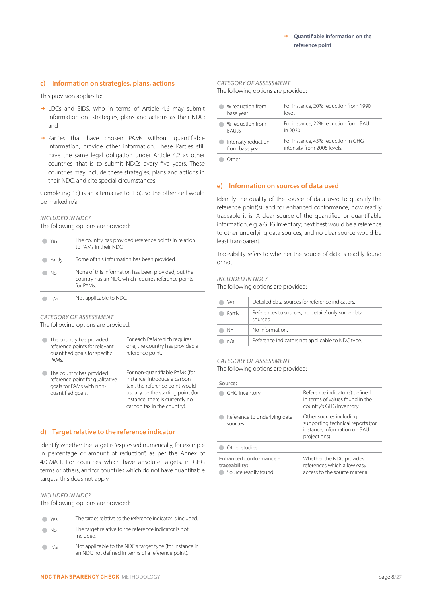#### **c) Information on strategies, plans, actions**

This provision applies to:

- $\rightarrow$  LDCs and SIDS, who in terms of Article 4.6 may submit information on strategies, plans and actions as their NDC; and
- $\rightarrow$  Parties that have chosen PAMs without quantifiable information, provide other information. These Parties still have the same legal obligation under Article 4.2 as other countries, that is to submit NDCs every five years. These countries may include these strategies, plans and actions in their NDC, and cite special circumstances

Completing 1c) is an alternative to 1 b), so the other cell would be marked n/a.

#### *INCLUDED IN NDC?*

The following options are provided:

| Yeς    | The country has provided reference points in relation<br>to PAMs in their NDC.                                        |
|--------|-----------------------------------------------------------------------------------------------------------------------|
| Partly | Some of this information has been provided.                                                                           |
| Nο     | None of this information has been provided, but the<br>country has an NDC which requires reference points<br>for PAMs |
| n/a    | Not applicable to NDC.                                                                                                |

#### *CATEGORY OF ASSESSMENT*

The following options are provided:

| The country has provided<br>reference points for relevant<br>quantified goals for specific<br>PAMs.          | For each PAM which requires<br>one, the country has provided a<br>reference point.                                                                                                                        |
|--------------------------------------------------------------------------------------------------------------|-----------------------------------------------------------------------------------------------------------------------------------------------------------------------------------------------------------|
| The country has provided<br>reference point for qualitative<br>goals for PAMs with non-<br>quantified goals. | For non-quantifiable PAMs (for<br>instance, introduce a carbon<br>tax), the reference point would<br>usually be the starting point (for<br>instance, there is currently no<br>carbon tax in the country). |

#### **d) Target relative to the reference indicator**

Identify whether the target is "expressed numerically, for example in percentage or amount of reduction", as per the Annex of 4/CMA.1. For countries which have absolute targets, in GHG terms or others, and for countries which do not have quantifiable targets, this does not apply.

#### *INCLUDED IN NDC?*

The following options are provided:

| Yes. | The target relative to the reference indicator is included.                                                    |
|------|----------------------------------------------------------------------------------------------------------------|
| Nο   | The target relative to the reference indicator is not<br>included.                                             |
| n/a  | Not applicable to the NDC's target type (for instance in<br>an NDC not defined in terms of a reference point). |

## *CATEGORY OF ASSESSMENT*

The following options are provided:

| % reduction from    | For instance, 20% reduction from 1990 |
|---------------------|---------------------------------------|
| base year           | level.                                |
| % reduction from    | For instance, 22% reduction form BAU  |
| <b>BAU%</b>         | in 2030.                              |
| Intensity reduction | For instance, 45% reduction in GHG    |
| from base year      | intensity from 2005 levels.           |
|                     |                                       |

**Other** 

#### **e) Information on sources of data used**

Identify the quality of the source of data used to quantify the reference point(s), and for enhanced conformance, how readily traceable it is. A clear source of the quantified or quantifiable information, e.g. a GHG inventory; next best would be a reference to other underlying data sources; and no clear source would be least transparent.

Traceability refers to whether the source of data is readily found or not.

#### *INCLUDED IN NDC?*

The following options are provided:

| Yes              | Detailed data sources for reference indicators.               |
|------------------|---------------------------------------------------------------|
| Partly<br>$\sim$ | References to sources, no detail / only some data<br>sourced. |
| Nο               | No information.                                               |
| n/a              | Reference indicators not applicable to NDC type.              |

### *CATEGORY OF ASSESSMENT*

The following options are provided:

#### **Source:**

| GHG inventory                                                   | Reference indicator(s) defined<br>in terms of values found in the<br>country's GHG inventory.                 |
|-----------------------------------------------------------------|---------------------------------------------------------------------------------------------------------------|
| Reference to underlying data<br>sources                         | Other sources including<br>supporting technical reports (for<br>instance, information on BAU<br>projections). |
| Other studies                                                   |                                                                                                               |
| Enhanced conformance -<br>traceability:<br>Source readily found | Whether the NDC provides<br>references which allow easy<br>access to the source material.                     |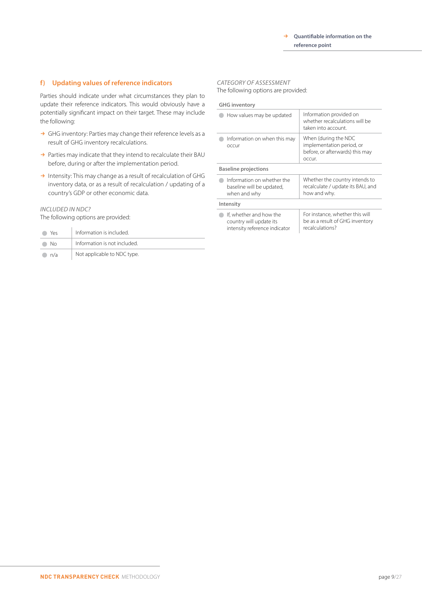#### **f) Updating values of reference indicators**

Parties should indicate under what circumstances they plan to update their reference indicators. This would obviously have a potentially significant impact on their target. These may include the following:

- $\rightarrow$  GHG inventory: Parties may change their reference levels as a result of GHG inventory recalculations.
- $\rightarrow$  Parties may indicate that they intend to recalculate their BAU before, during or after the implementation period.
- $\rightarrow$  Intensity: This may change as a result of recalculation of GHG inventory data, or as a result of recalculation / updating of a country's GDP or other economic data.

#### *INCLUDED IN NDC?*

The following options are provided:

| Yes | Information is included.     |
|-----|------------------------------|
| Nο  | Information is not included. |
| n/a | Not applicable to NDC type.  |

#### *CATEGORY OF ASSESSMENT*

The following options are provided:

#### **GHG inventory**

| How values may be updated                                                           | Information provided on<br>whether recalculations will be<br>taken into account.               |
|-------------------------------------------------------------------------------------|------------------------------------------------------------------------------------------------|
| Information on when this may<br>occur                                               | When (during the NDC<br>implementation period, or<br>before, or afterwards) this may<br>occur. |
| <b>Baseline projections</b>                                                         |                                                                                                |
| Information on whether the<br>baseline will be updated,<br>when and why             | Whether the country intends to<br>recalculate / update its BAU, and<br>how and why.            |
| Intensity                                                                           |                                                                                                |
| If, whether and how the<br>country will update its<br>intensity reference indicator | For instance, whether this will<br>be as a result of GHG inventory<br>recalculations?          |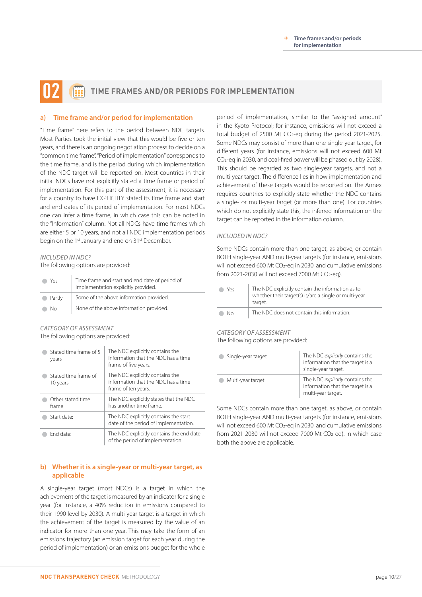### **TIME FRAMES AND/OR PERIODS FOR IMPLEMENTATION 02**

#### **a) Time frame and/or period for implementation**

"Time frame" here refers to the period between NDC targets. Most Parties took the initial view that this would be five or ten years, and there is an ongoing negotiation process to decide on a "common time frame". "Period of implementation" corresponds to the time frame, and is the period during which implementation of the NDC target will be reported on. Most countries in their initial NDCs have not explicitly stated a time frame or period of implementation. For this part of the assessment, it is necessary for a country to have EXPLICITLY stated its time frame and start and end dates of its period of implementation. For most NDCs one can infer a time frame, in which case this can be noted in the "Information" column. Not all NDCs have time frames which are either 5 or 10 years, and not all NDC implementation periods begin on the 1<sup>st</sup> January and end on 31<sup>st</sup> December.

#### *INCLUDED IN NDC?*

The following options are provided:

| Yes      | Time frame and start and end date of period of<br>implementation explicitly provided. |
|----------|---------------------------------------------------------------------------------------|
| • Partly | Some of the above information provided.                                               |
| No.      | None of the above information provided.                                               |

## *CATEGORY OF ASSESSMENT*

The following options are provided:

| Stated time frame of 5<br>years  | The NDC explicitly contains the<br>information that the NDC has a time<br>frame of five years. |
|----------------------------------|------------------------------------------------------------------------------------------------|
| Stated time frame of<br>10 years | The NDC explicitly contains the<br>information that the NDC has a time<br>frame of ten years.  |
| Other stated time<br>frame       | The NDC explicitly states that the NDC<br>has another time frame                               |
| Start date:                      | The NDC explicitly contains the start<br>date of the period of implementation.                 |
| Fnd date:                        | The NDC explicitly contains the end date<br>of the period of implementation.                   |

#### **b) Whether it is a single-year or multi-year target, as applicable**

A single-year target (most NDCs) is a target in which the achievement of the target is measured by an indicator for a single year (for instance, a 40% reduction in emissions compared to their 1990 level by 2030). A multi-year target is a target in which the achievement of the target is measured by the value of an indicator for more than one year. This may take the form of an emissions trajectory (an emission target for each year during the period of implementation) or an emissions budget for the whole period of implementation, similar to the "assigned amount" in the Kyoto Protocol; for instance, emissions will not exceed a total budget of 2500 Mt CO2-eq during the period 2021-2025. Some NDCs may consist of more than one single-year target, for different years (for instance, emissions will not exceed 600 Mt CO2-eq in 2030, and coal-fired power will be phased out by 2028). This should be regarded as two single-year targets, and not a multi-year target. The difference lies in how implementation and achievement of these targets would be reported on. The Annex requires countries to explicitly state whether the NDC contains a single- or multi-year target (or more than one). For countries which do not explicitly state this, the inferred information on the target can be reported in the information column.

#### *INCLUDED IN NDC?*

Some NDCs contain more than one target, as above, or contain BOTH single-year AND multi-year targets (for instance, emissions will not exceed 600 Mt CO2-eq in 2030, and cumulative emissions from 2021-2030 will not exceed 7000 Mt CO<sub>2</sub>-eq).

| Yρς | The NDC explicitly contain the information as to<br>whether their target(s) is/are a single or multi-year<br>target. |
|-----|----------------------------------------------------------------------------------------------------------------------|
| Nο  | The NDC does not contain this information.                                                                           |

#### *CATEGORY OF ASSESSMENT*

The following options are provided:

| Single-year target | The NDC explicitly contains the<br>information that the target is a<br>single-year target. |
|--------------------|--------------------------------------------------------------------------------------------|
| Multi-year target  | The NDC explicitly contains the<br>information that the target is a<br>multi-year target.  |

Some NDCs contain more than one target, as above, or contain BOTH single-year AND multi-year targets (for instance, emissions will not exceed 600 Mt CO2-eq in 2030, and cumulative emissions from 2021-2030 will not exceed 7000 Mt CO<sub>2</sub>-eq). In which case both the above are applicable.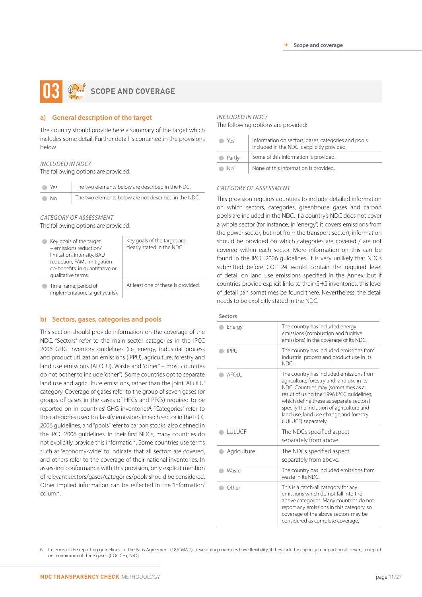## **SCOPE AND COVERAGE**

#### **a) General description of the target**

The country should provide here a summary of the target which includes some detail. Further detail is contained in the provisions below.

#### *INCLUDED IN NDC?*

The following options are provided:

| lack Yes      | The two elements below are described in the NDC.     |
|---------------|------------------------------------------------------|
| $\bigcirc$ No | The two elements below are not described in the NDC. |

#### *CATEGORY OF ASSESSMENT* The following options are provided:

| Key goals of the target<br>- emissions reduction/<br>limitation, intensity, BAU<br>reduction, PAMs, mitigation<br>co-benefits, in quantitative or<br>qualitative terms. | Key goals of the target are<br>clearly stated in the NDC. |
|-------------------------------------------------------------------------------------------------------------------------------------------------------------------------|-----------------------------------------------------------|
| Time frame, period of<br>implementation, target year(s).                                                                                                                | At least one of these is provided.                        |

#### **b) Sectors, gases, categories and pools**

This section should provide information on the coverage of the NDC. "Sectors" refer to the main sector categories in the IPCC 2006 GHG inventory guidelines (i.e. energy, industrial process and product utilization emissions (IPPU), agriculture, forestry and land use emissions (AFOLU), Waste and "other" – most countries do not bother to include "other"). Some countries opt to separate land use and agriculture emissions, rather than the joint "AFOLU" category. Coverage of gases refer to the group of seven gases (or groups of gases in the cases of HFCs and PFCs) required to be reported on in countries' GHG inventories<sup>6</sup>. "Categories" refer to the categories used to classify emissions in each sector in the IPCC 2006 guidelines, and "pools" refer to carbon stocks, also defined in the IPCC 2006 guidelines. In their first NDCs, many countries do not explicitly provide this information. Some countries use terms such as "economy-wide" to indicate that all sectors are covered, and others refer to the coverage of their national inventories. In assessing conformance with this provision, only explicit mention of relevant sectors/gases/categories/pools should be considered. Other implied information can be reflected in the "information" column.

#### *INCLUDED IN NDC?*

The following options are provided:

| Yρς    | Information on sectors, gases, categories and pools<br>included in the NDC is explicitly provided. |
|--------|----------------------------------------------------------------------------------------------------|
| Partly | Some of this information is provided.                                                              |
| No     | None of this information is provided.                                                              |

#### *CATEGORY OF ASSESSMENT*

This provision requires countries to include detailed information on which sectors, categories, greenhouse gases and carbon pools are included in the NDC. If a country's NDC does not cover a whole sector (for instance, in "energy", it covers emissions from the power sector, but not from the transport sector), information should be provided on which categories are covered / are not covered within each sector. More information on this can be found in the IPCC 2006 guidelines. It is very unlikely that NDCs submitted before COP 24 would contain the required level of detail on land use emissions specified in the Annex, but if countries provide explicit links to their GHG inventories, this level of detail can sometimes be found there. Nevertheless, the detail needs to be explicitly stated in the NDC.

#### **Sectors**

| Energy        | The country has included energy<br>emissions (combustion and fugitive<br>emissions) in the coverage of its NDC.                                                                                                                                                                                                                  |
|---------------|----------------------------------------------------------------------------------------------------------------------------------------------------------------------------------------------------------------------------------------------------------------------------------------------------------------------------------|
| <b>IPPU</b>   | The country has included emissions from<br>industrial process and product use in its<br>NDC.                                                                                                                                                                                                                                     |
| <b>AFOI U</b> | The country has included emissions from<br>agriculture, forestry and land use in its<br>NDC. Countries may (sometimes as a<br>result of using the 1996 IPCC quidelines,<br>which define these as separate sectors)<br>specify the inclusion of agriculture and<br>land use, land use change and forestry<br>(LULUCF) separately. |
| <b>LULUCF</b> | The NDCs specified aspect<br>separately from above.                                                                                                                                                                                                                                                                              |
| Agriculture   | The NDCs specified aspect<br>separately from above.                                                                                                                                                                                                                                                                              |
| Waste         | The country has included emissions from<br>waste in its NDC.                                                                                                                                                                                                                                                                     |
| Other         | This is a catch-all category for any<br>emissions which do not fall into the<br>above categories. Many countries do not<br>report any emissions in this category, so<br>coverage of the above sectors may be<br>considered as complete coverage.                                                                                 |

6 In terms of the reporting guidelines for the Paris Agreement (18/CMA.1), developing countries have flexibility, if they lack the capacity to report on all seven, to report on a minimum of three gases (CO2, CH4, N2O).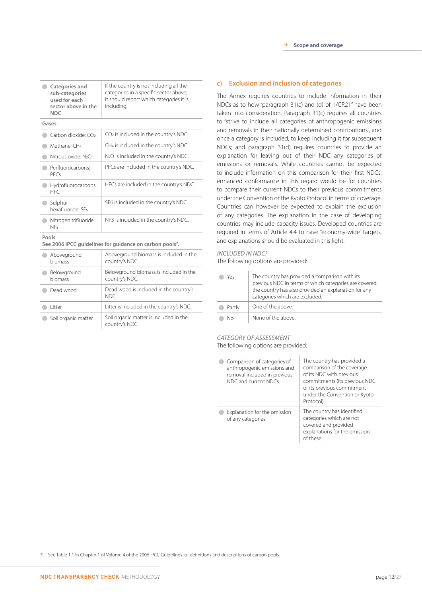| Categories and<br>sub-categories<br>used for each<br>sector above in the<br><b>NDC</b> | If the country is not including all the<br>categories in a specific sector above,<br>it should report which categories it is<br>including. |
|----------------------------------------------------------------------------------------|--------------------------------------------------------------------------------------------------------------------------------------------|
| Gases                                                                                  |                                                                                                                                            |
| Carbon dioxide: CO2                                                                    | CO <sub>2</sub> is included in the country's NDC.                                                                                          |
| Methane: CH <sub>4</sub>                                                               | CH <sub>4</sub> is included in the country's NDC.                                                                                          |
| Nitrous oxide: N <sub>2</sub> O                                                        | N2O is included in the country's NDC.                                                                                                      |
| Perfluorocarbons:<br><b>PFCs</b>                                                       | PFCs are included in the country's NDC.                                                                                                    |
| Hydrofluorocarbons:<br><b>HFC</b>                                                      | HFCs are included in the country's NDC.                                                                                                    |
| Sulphur<br>hexafluoride: SF <sub>6</sub>                                               | SF6 is included in the country's NDC.                                                                                                      |
| Nitrogen trifluoride:<br>NF3                                                           | NF3 is included in the country's NDC.                                                                                                      |

#### **Pools**

**See 2006 IPCC guidelines for guidance on carbon pools7.**

| Aboveground<br>biomass | Aboveground biomass is included in the<br>country's NDC. |
|------------------------|----------------------------------------------------------|
| Belowground<br>biomass | Belowground biomass is included in the<br>country's NDC. |
| Dead wood              | Dead wood is included in the country's<br>NDC.           |
| l itter                | Litter is included in the country's NDC.                 |
| Soil organic matter    | Soil organic matter is included in the<br>country's NDC. |

#### **c) Exclusion and inclusion of categories**

The Annex requires countries to include information in their NDCs as to how "paragraph 31(c) and (d) of 1/CP.21" have been taken into consideration. Paragraph 31(c) requires all countries to "strive to include all categories of anthropogenic emissions and removals in their nationally determined contributions", and once a category is included, to keep including it for subsequent NDCs; and paragraph 31(d) requires countries to provide an explanation for leaving out of their NDC any categories of emissions or removals. While countries cannot be expected to include information on this comparison for their first NDCs, enhanced conformance in this regard would be for countries to compare their current NDCs to their previous commitments under the Convention or the Kyoto Protocol in terms of coverage. Countries can however be expected to explain the exclusion of any categories. The explanation in the case of developing countries may include capacity issues. Developed countries are required in terms of Article 4.4 to have "economy-wide" targets, and explanations should be evaluated in this light.

#### *INCLUDED IN NDC?*

The following options are provided:

| Yρς    | The country has provided a comparison with its<br>previous NDC in terms of which categories are covered;<br>the country has also provided an explanation for any<br>categories which are excluded. |
|--------|----------------------------------------------------------------------------------------------------------------------------------------------------------------------------------------------------|
| Partly | One of the above.                                                                                                                                                                                  |
| Nη     | None of the above.                                                                                                                                                                                 |

#### *CATEGORY OF ASSESSMENT* The following options are provided:

| Comparison of categories of<br>anthropogenic emissions and<br>removal included in previous<br>NDC and current NDCs. | The country has provided a<br>comparison of the coverage<br>of its NDC with previous<br>commitments (its previous NDC<br>or its previous commitment<br>under the Convention or Kyoto<br>Protocol). |
|---------------------------------------------------------------------------------------------------------------------|----------------------------------------------------------------------------------------------------------------------------------------------------------------------------------------------------|
| Explanation for the omission<br>of any categories.                                                                  | The country has identified<br>categories which are not<br>covered and provided<br>explanations for the omission<br>of these                                                                        |

7 See Table 1.1 in Chapter 1 of Volume 4 of the 2006 IPCC Guidelines for definitions and descriptions of carbon pools.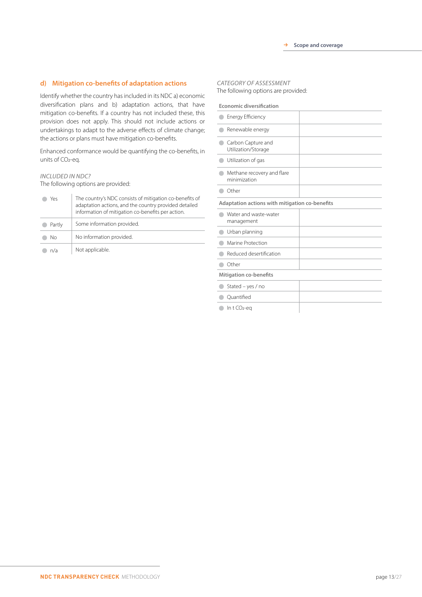#### **d) Mitigation co-benefits of adaptation actions**

Identify whether the country has included in its NDC a) economic diversification plans and b) adaptation actions, that have mitigation co-benefits. If a country has not included these, this provision does not apply. This should not include actions or undertakings to adapt to the adverse effects of climate change; the actions or plans must have mitigation co-benefits.

Enhanced conformance would be quantifying the co-benefits, in units of CO2-eq.

#### *INCLUDED IN NDC?*

The following options are provided:

| Yρς    | The country's NDC consists of mitigation co-benefits of<br>adaptation actions, and the country provided detailed<br>information of mitigation co-benefits per action. |
|--------|-----------------------------------------------------------------------------------------------------------------------------------------------------------------------|
| Partly | Some information provided.                                                                                                                                            |
| Nο     | No information provided.                                                                                                                                              |
| n/a    | Not applicable.                                                                                                                                                       |

#### *CATEGORY OF ASSESSMENT*

The following options are provided:

**Economic diversification**

| Energy Efficiency                              |  |  |
|------------------------------------------------|--|--|
| Renewable energy                               |  |  |
| Carbon Capture and<br>Utilization/Storage      |  |  |
| Utilization of gas                             |  |  |
| Methane recovery and flare<br>minimization     |  |  |
| Other                                          |  |  |
| Adaptation actions with mitigation co-benefits |  |  |
| Water and waste-water<br>management            |  |  |
| Urban planning                                 |  |  |
| Marine Protection                              |  |  |
| Reduced desertification                        |  |  |
| Other                                          |  |  |
| <b>Mitigation co-benefits</b>                  |  |  |
| Stated - yes / no                              |  |  |
| Ouantified                                     |  |  |
| In $t$ CO <sub>2-eq</sub>                      |  |  |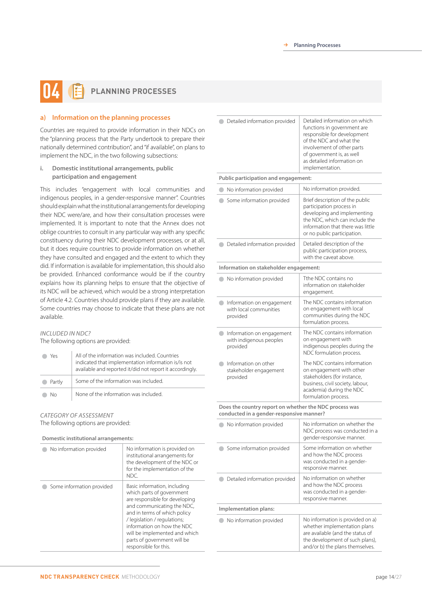## **PLANNING PROCESSES 04**

#### **a) Information on the planning processes**

Countries are required to provide information in their NDCs on the "planning process that the Party undertook to prepare their nationally determined contribution", and "if available", on plans to implement the NDC, in the two following subsections:

**i. Domestic institutional arrangements, public participation and engagement**

This includes "engagement with local communities and indigenous peoples, in a gender-responsive manner". Countries should explain what the institutional arrangements for developing their NDC were/are, and how their consultation processes were implemented. It is important to note that the Annex does not oblige countries to consult in any particular way with any specific constituency during their NDC development processes, or at all, but it does require countries to provide information on whether they have consulted and engaged and the extent to which they did. If information is available for implementation, this should also be provided. Enhanced conformance would be if the country explains how its planning helps to ensure that the objective of its NDC will be achieved, which would be a strong interpretation of Article 4.2. Countries should provide plans if they are available. Some countries may choose to indicate that these plans are not available.

#### *INCLUDED IN NDC?*

The following options are provided:

| Yρς                      | All of the information was included. Countries<br>indicated that implementation information is/is not<br>available and reported it/did not report it accordingly. |
|--------------------------|-------------------------------------------------------------------------------------------------------------------------------------------------------------------|
| Partly<br>$\blacksquare$ | Some of the information was included.                                                                                                                             |
| Nη                       | None of the information was included.                                                                                                                             |

#### *CATEGORY OF ASSESSMENT* The following options are provided:

**Domestic institutional arrangements:** 

| No information provided   | No information is provided on<br>institutional arrangements for<br>the development of the NDC or<br>for the implementation of the<br>NDC.                                                                                                                                                                        |
|---------------------------|------------------------------------------------------------------------------------------------------------------------------------------------------------------------------------------------------------------------------------------------------------------------------------------------------------------|
| Some information provided | Basic information, including<br>which parts of government<br>are responsible for developing<br>and communicating the NDC,<br>and in terms of which policy<br>/ legislation / regulations;<br>information on how the NDC<br>will be implemented and which<br>parts of government will be<br>responsible for this. |

| Detailed information provided                                                                      | Detailed information on which<br>functions in government are<br>responsible for development<br>of the NDC and what the<br>involvement of other parts<br>of government is, as well<br>as detailed information on<br>implementation. |  |
|----------------------------------------------------------------------------------------------------|------------------------------------------------------------------------------------------------------------------------------------------------------------------------------------------------------------------------------------|--|
| Public participation and engagement:                                                               |                                                                                                                                                                                                                                    |  |
| No information provided                                                                            | No information provided.                                                                                                                                                                                                           |  |
| Some information provided                                                                          | Brief description of the public<br>participation process in<br>developing and implementing<br>the NDC, which can include the<br>information that there was little<br>or no public participation.                                   |  |
| Detailed information provided                                                                      | Detailed description of the<br>public participation process,<br>with the caveat above.                                                                                                                                             |  |
| Information on stakeholder engagement:                                                             |                                                                                                                                                                                                                                    |  |
| No information provided                                                                            | Tthe NDC contains no<br>information on stakeholder<br>engagement.                                                                                                                                                                  |  |
| Information on engagement<br>with local communities<br>provided                                    | The NDC contains information<br>on engagement with local<br>communities during the NDC<br>formulation process.                                                                                                                     |  |
| Information on engagement<br>with indigenous peoples<br>provided                                   | The NDC contains information<br>on engagement with<br>indigenous peoples during the<br>NDC formulation process.                                                                                                                    |  |
| Information on other<br>stakeholder engagement<br>provided                                         | The NDC contains information<br>on engagement with other<br>stakeholders (for instance,<br>business, civil society, labour,<br>academia) during the NDC<br>formulation process.                                                    |  |
| Does the country report on whether the NDC process was<br>conducted in a gender-responsive manner? |                                                                                                                                                                                                                                    |  |
| No information provided                                                                            | No information on whether the<br>NDC process was conducted in a<br>gender-responsive manner.                                                                                                                                       |  |
| Some information provided                                                                          | Some information on whether<br>and how the NDC process<br>was conducted in a gender-<br>responsive manner.                                                                                                                         |  |
| Detailed information provided                                                                      | No information on whether<br>and how the NDC process<br>was conducted in a gender-<br>responsive manner.                                                                                                                           |  |
| Implementation plans:                                                                              |                                                                                                                                                                                                                                    |  |
| No information provided                                                                            | No information is provided on a)<br>whether implementation plans<br>are available (and the status of<br>the development of such plans),<br>and/or b) the plans themselves.                                                         |  |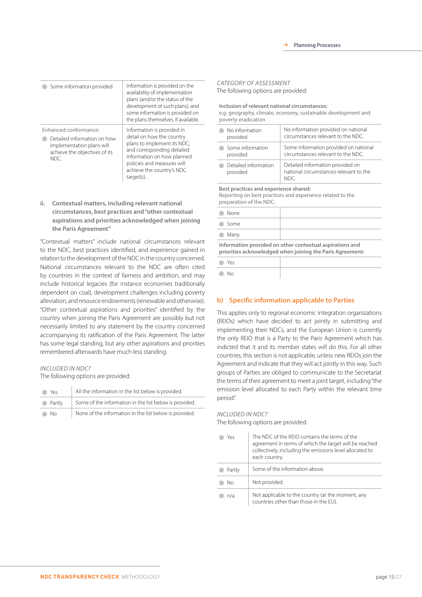| Some information provided                                                                                                  | Information is provided on the<br>availability of implementation<br>plans (and/or the status of the<br>development of such plans), and<br>some information is provided on<br>the plans themselves, if available.            |
|----------------------------------------------------------------------------------------------------------------------------|-----------------------------------------------------------------------------------------------------------------------------------------------------------------------------------------------------------------------------|
| Enhanced conformance:<br>Detailed information on how<br>implementation plans will<br>achieve the objectives of its<br>NDC. | Information is provided in<br>detail on how the country<br>plans to implement its NDC,<br>and corresponding detailed<br>information on how planned<br>policies and measures will<br>achieve the country's NDC<br>target(s). |

**ii. Contextual matters, including relevant national circumstances, best practices and "other contextual aspirations and priorities acknowledged when joining the Paris Agreement"**

"Contextual matters" include national circumstances relevant to the NDC, best practices identified, and experience gained in relation to the development of the NDC in the country concerned. National circumstances relevant to the NDC are often cited by countries in the context of fairness and ambition, and may include historical legacies (for instance economies traditionally dependent on coal), development challenges including poverty alleviation, and resource endowments (renewable and otherwise). "Other contextual aspirations and priorities" identified by the country when joining the Paris Agreement are possibly but not necessarily limited to any statement by the country concerned accompanying its ratification of the Paris Agreement. The latter has some legal standing, but any other aspirations and priorities remembered afterwards have much less standing.

#### *INCLUDED IN NDC?*

The following options are provided:

| Yes.     | All the information in the list below is provided.     |
|----------|--------------------------------------------------------|
| • Partly | Some of the information in the list below is provided. |
| No.      | None of the information in the list below is provided. |

#### *CATEGORY OF ASSESSMENT* The following options are provided:

**Inclusion of relevant national circumstances:**

e.g. geography, climate, economy, sustainable development and poverty eradication

| No information       | No information provided on national    |
|----------------------|----------------------------------------|
| provided             | circumstances relevant to the NDC.     |
| Some information     | Some information provided on national  |
| provided             | circumstances relevant to the NDC.     |
| Detailed information | Detailed information provided on       |
| provided             | national circumstances relevant to the |

**Best practices and experience shared:** 

Reporting on best practices and experience related to the preparation of the NDC;

| None<br>$\sqrt{2}$                                                                                           |  |
|--------------------------------------------------------------------------------------------------------------|--|
| Some<br>$\sqrt{2}$                                                                                           |  |
| <b>Many</b>                                                                                                  |  |
| المتعادل والمتحافظ ومعاونا والمتعقب والمتحدث والمتحالي والمتحال فالمتحدث والمتحال والمتحافظ والمتحال والمتحا |  |

**Information provided on other contextual aspirations and priorities acknowledged when joining the Paris Agreement:**

| ● Yes         |  |
|---------------|--|
| $\bigcirc$ No |  |

#### **b) Specific information applicable to Parties**

This applies only to regional economic integration organizations (REIOs) which have decided to act jointly in submitting and implementing their NDCs, and the European Union is currently the only REIO that is a Party to the Paris Agreement which has indicted that it and its member states will do this. For all other countries, this section is not applicable, unless new REIOs join the Agreement and indicate that they will act jointly in this way. Such groups of Parties are obliged to communicate to the Secretariat the terms of their agreement to meet a joint target, including "the emission level allocated to each Party within the relevant time period".

#### *INCLUDED IN NDC?*

The following options are provided:

| Yρς    | The NDC of the REIO contains the terms of the<br>agreement in terms of which the target will be reached<br>collectively, including the emissions level allocated to<br>each country. |
|--------|--------------------------------------------------------------------------------------------------------------------------------------------------------------------------------------|
| Partly | Some of the information above.                                                                                                                                                       |
| Nο     | Not provided.                                                                                                                                                                        |
| n/a    | Not applicable to the country (at the moment, any<br>countries other than those in the EU).                                                                                          |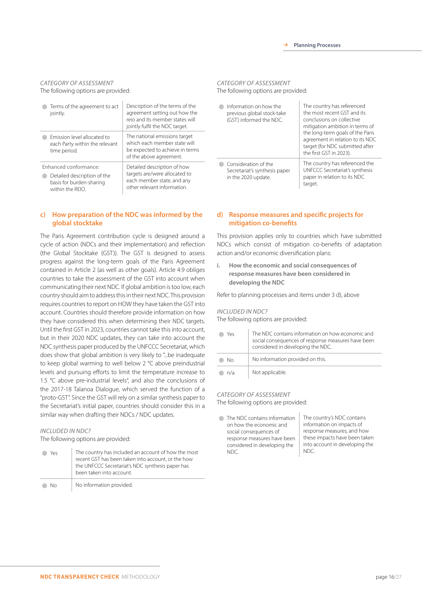#### *CATEGORY OF ASSESSMENT* The following options are provided:

| Terms of the agreement to act<br>jointly.                                                            | Description of the terms of the<br>agreement setting out how the<br>reio and its member states will<br>jointly fulfil the NDC target. |
|------------------------------------------------------------------------------------------------------|---------------------------------------------------------------------------------------------------------------------------------------|
| Fmission level allocated to<br>each Party within the relevant<br>time period.                        | The national emissions target<br>which each member state will<br>be expected to achieve in terms<br>of the above agreement.           |
| Enhanced conformance:<br>Detailed description of the<br>basis for burden-sharing<br>within the $RFD$ | Detailed description of how<br>targets are/were allocated to<br>each member state, and any<br>other relevant information.             |

#### **c) How preparation of the NDC was informed by the global stocktake**

The Paris Agreement contribution cycle is designed around a cycle of action (NDCs and their implementation) and reflection (the Global Stocktake (GST)). The GST is designed to assess progress against the long-term goals of the Paris Agreement contained in Article 2 (as well as other goals). Article 4.9 obliges countries to take the assessment of the GST into account when communicating their next NDC. If global ambition is too low, each country should aim to address this in their next NDC. This provision requires countries to report on HOW they have taken the GST into account. Countries should therefore provide information on how they have considered this when determining their NDC targets. Until the first GST in 2023, countries cannot take this into account, but in their 2020 NDC updates, they can take into account the NDC synthesis paper produced by the UNFCCC Secretariat, which does show that global ambition is very likely to "...be inadequate to keep global warming to well below 2 °C above preindustrial levels and pursuing efforts to limit the temperature increase to 1.5 °C above pre-industrial levels", and also the conclusions of the 2017-18 Talanoa Dialogue, which served the function of a "proto-GST". Since the GST will rely on a similar synthesis paper to the Secretariat's initial paper, countries should consider this in a similar way when drafting their NDCs / NDC updates.

#### *INCLUDED IN NDC?*

The following options are provided:

| Yes. | The country has included an account of how the most<br>recent GST has been taken into account, or the how<br>the UNFCCC Secretariat's NDC synthesis paper has<br>been taken into account. |
|------|-------------------------------------------------------------------------------------------------------------------------------------------------------------------------------------------|
|      |                                                                                                                                                                                           |

No No information provided.

#### *CATEGORY OF ASSESSMENT* The following options are provided:

**Information on how the** previous global stock-take (GST) informed the NDC. The country has referenced the most recent GST and its conclusions on collective mitigation ambition in terms of the long-term goals of the Paris agreement in relation to its NDC target (for NDC submitted after the first GST in 2023). Consideration of the Secretariat's synthesis paper in the 2020 update. The country has referenced the UNFCCC Secretariat's synthesis paper in relation to its NDC target.

#### **d) Response measures and specific projects for mitigation co-benefits**

This provision applies only to countries which have submitted NDCs which consist of mitigation co-benefits of adaptation action and/or economic diversification plans:

**i. How the economic and social consequences of response measures have been considered in developing the NDC**

Refer to planning processes and items under 3 d), above

#### *INCLUDED IN NDC?*

The following options are provided:

| Yρς | The NDC contains information on how economic and<br>social consequences of response measures have been<br>considered in developing the NDC. |
|-----|---------------------------------------------------------------------------------------------------------------------------------------------|
| Nο  | No information provided on this.                                                                                                            |
| n/a | Not applicable.                                                                                                                             |

#### *CATEGORY OF ASSESSMENT*

The following options are provided:

● The NDC contains information on how the economic and social consequences of response measures have been considered in developing the NDC. The country's NDC contains information on impacts of response measures, and how these impacts have been taken into account in developing the NDC.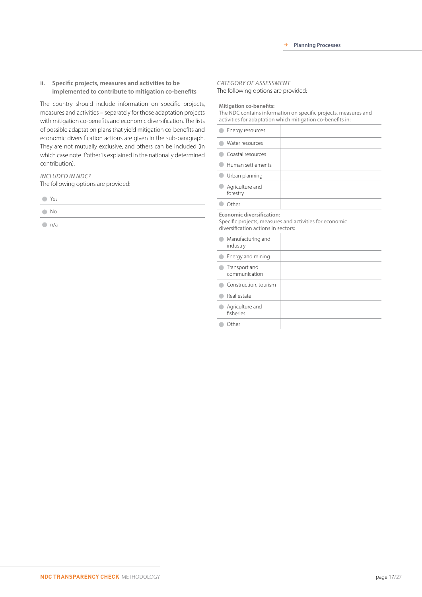**ii. Specific projects, measures and activities to be implemented to contribute to mitigation co-benefits**

The country should include information on specific projects, measures and activities – separately for those adaptation projects with mitigation co-benefits and economic diversification. The lists of possible adaptation plans that yield mitigation co-benefits and economic diversification actions are given in the sub-paragraph. They are not mutually exclusive, and others can be included (in which case note if 'other' is explained in the nationally determined contribution).

*INCLUDED IN NDC?* The following options are provided:

| ۰. |
|----|
|----|

No

 $\bigcirc$  n/a

## *CATEGORY OF ASSESSMENT*

The following options are provided:

**Mitigation co-benefits:** 

The NDC contains information on specific projects, measures and activities for adaptation which mitigation co-benefits in:

| Energy resources                                                 |                                                         |
|------------------------------------------------------------------|---------------------------------------------------------|
| Water resources                                                  |                                                         |
| Coastal resources                                                |                                                         |
| Human settlements                                                |                                                         |
| Urban planning                                                   |                                                         |
| Agriculture and<br>forestry                                      |                                                         |
| Other                                                            |                                                         |
| Economic diversification:<br>diversification actions in sectors: | Specific projects, measures and activities for economic |
| Manufacturing and<br>industry                                    |                                                         |
| Energy and mining                                                |                                                         |
| Transport and<br>communication                                   |                                                         |
| Construction, tourism                                            |                                                         |
| Real estate                                                      |                                                         |
| Agriculture and<br>fisheries                                     |                                                         |
| Other                                                            |                                                         |

**Other**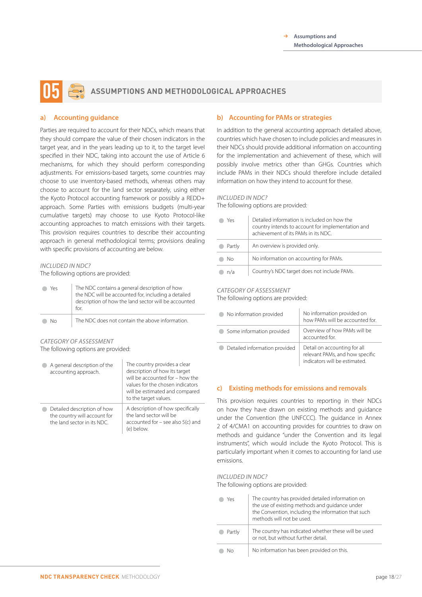## **ASSUMPTIONS AND METHODOLOGICAL APPROACHES 05**

#### **a) Accounting guidance**

Parties are required to account for their NDCs, which means that they should compare the value of their chosen indicators in the target year, and in the years leading up to it, to the target level specified in their NDC, taking into account the use of Article 6 mechanisms, for which they should perform corresponding adjustments. For emissions-based targets, some countries may choose to use inventory-based methods, whereas others may choose to account for the land sector separately, using either the Kyoto Protocol accounting framework or possibly a REDD+ approach. Some Parties with emissions budgets (multi-year cumulative targets) may choose to use Kyoto Protocol-like accounting approaches to match emissions with their targets. This provision requires countries to describe their accounting approach in general methodological terms; provisions dealing with specific provisions of accounting are below.

#### *INCLUDED IN NDC?*

The following options are provided:

| Υρς | The NDC contains a general description of how<br>the NDC will be accounted for, including a detailed<br>description of how the land sector will be accounted<br>for |
|-----|---------------------------------------------------------------------------------------------------------------------------------------------------------------------|
| Nη  | The NDC does not contain the above information.                                                                                                                     |

#### *CATEGORY OF ASSESSMENT* The following options are provided:

| A general description of the<br>accounting approach.                                       | The country provides a clear<br>description of how its target<br>will be accounted for - how the<br>values for the chosen indicators<br>will be estimated and compared<br>to the target values. |
|--------------------------------------------------------------------------------------------|-------------------------------------------------------------------------------------------------------------------------------------------------------------------------------------------------|
| Detailed description of how<br>the country will account for<br>the land sector in its NDC. | A description of how specifically<br>the land sector will be<br>accounted for $-$ see also $5(c)$ and<br>(e) below.                                                                             |

#### **b) Accounting for PAMs or strategies**

In addition to the general accounting approach detailed above, countries which have chosen to include policies and measures in their NDCs should provide additional information on accounting for the implementation and achievement of these, which will possibly involve metrics other than GHGs. Countries which include PAMs in their NDCs should therefore include detailed information on how they intend to account for these.

#### *INCLUDED IN NDC?*

The following options are provided:

| Yes    | Detailed information is included on how the<br>country intends to account for implementation and<br>achievement of its PAMs in its NDC. |
|--------|-----------------------------------------------------------------------------------------------------------------------------------------|
| Partly | An overview is provided only.                                                                                                           |
| Nο     | No information on accounting for PAMs.                                                                                                  |
| n/a    | Country's NDC target does not include PAMs.                                                                                             |

#### *CATEGORY OF ASSESSMENT*

The following options are provided:

| No information provided       | No information provided on<br>how PAMs will be accounted for.                                    |
|-------------------------------|--------------------------------------------------------------------------------------------------|
| Some information provided     | Overview of how PAMs will be<br>accounted for.                                                   |
| Detailed information provided | Detail on accounting for all<br>relevant PAMs, and how specific<br>indicators will be estimated. |

#### **c) Existing methods for emissions and removals**

This provision requires countries to reporting in their NDCs on how they have drawn on existing methods and guidance under the Convention (the UNFCCC). The guidance in Annex 2 of 4/CMA1 on accounting provides for countries to draw on methods and guidance "under the Convention and its legal instruments", which would include the Kyoto Protocol. This is particularly important when it comes to accounting for land use emissions.

#### *INCLUDED IN NDC?*

The following options are provided:

| Yρς    | The country has provided detailed information on<br>the use of existing methods and guidance under<br>the Convention, including the information that such<br>methods will not be used. |
|--------|----------------------------------------------------------------------------------------------------------------------------------------------------------------------------------------|
| Partly | The country has indicated whether these will be used<br>or not, but without further detail.                                                                                            |
|        | No information has been provided on this.                                                                                                                                              |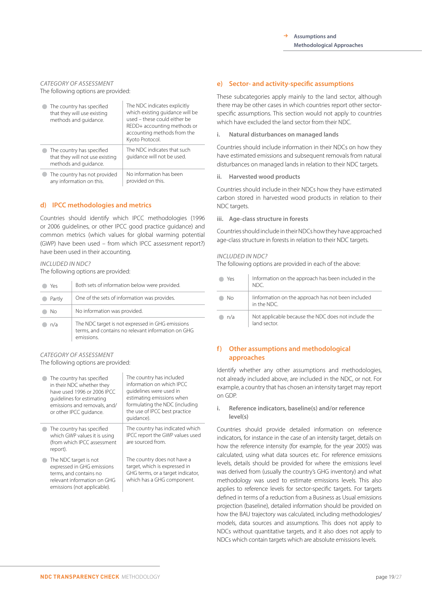#### *CATEGORY OF ASSESSMENT* The following options are provided:

| The country has specified<br>that they will use existing<br>methods and quidance.     | The NDC indicates explicitly<br>which existing guidance will be<br>used - these could either be<br>REDD+ accounting methods or<br>accounting methods from the<br>Kyoto Protocol. |
|---------------------------------------------------------------------------------------|----------------------------------------------------------------------------------------------------------------------------------------------------------------------------------|
| The country has specified<br>that they will not use existing<br>methods and guidance. | The NDC indicates that such<br>quidance will not be used.                                                                                                                        |
| The country has not provided<br>any information on this.                              | No information has been<br>provided on this.                                                                                                                                     |

#### **d) IPCC methodologies and metrics**

Countries should identify which IPCC methodologies (1996 or 2006 guidelines, or other IPCC good practice guidance) and common metrics (which values for global warming potential (GWP) have been used – from which IPCC assessment report?) have been used in their accounting.

#### *INCLUDED IN NDC?*

The following options are provided:

| Yρς    | Both sets of information below were provided.                                                                        |
|--------|----------------------------------------------------------------------------------------------------------------------|
| Partly | One of the sets of information was provides.                                                                         |
| Nο     | No information was provided.                                                                                         |
| n/a    | The NDC target is not expressed in GHG emissions<br>terms, and contains no relevant information on GHG<br>emissions. |

### *CATEGORY OF ASSESSMENT*

The following options are provided:

| The country has specified<br>in their NDC whether they<br>have used 1996 or 2006 IPCC.<br>quidelines for estimating<br>emissions and removals, and/<br>or other IPCC quidance. | The country has included<br>information on which IPCC<br>guidelines were used in<br>estimating emissions when<br>formulating the NDC (including<br>the use of IPCC best practice<br>quidance). |
|--------------------------------------------------------------------------------------------------------------------------------------------------------------------------------|------------------------------------------------------------------------------------------------------------------------------------------------------------------------------------------------|
| The country has specified<br>which GWP values it is using<br>(from which IPCC assessment<br>report).                                                                           | The country has indicated which<br>IPCC report the GWP values used<br>are sourced from.                                                                                                        |
| The NDC target is not<br>expressed in GHG emissions<br>terms, and contains no<br>relevant information on GHG<br>emissions (not applicable).                                    | The country does not have a<br>target, which is expressed in<br>GHG terms, or a target indicator,<br>which has a GHG component.                                                                |

#### **e) Sector- and activity-specific assumptions**

These subcategories apply mainly to the land sector, although there may be other cases in which countries report other sectorspecific assumptions. This section would not apply to countries which have excluded the land sector from their NDC.

**i. Natural disturbances on managed lands**

Countries should include information in their NDCs on how they have estimated emissions and subsequent removals from natural disturbances on managed lands in relation to their NDC targets.

**ii. Harvested wood products**

Countries should include in their NDCs how they have estimated carbon stored in harvested wood products in relation to their NDC targets.

**iii. Age-class structure in forests**

Countries should include in their NDCs how they have approached age-class structure in forests in relation to their NDC targets.

#### *INCLUDED IN NDC?*

The following options are provided in each of the above:

| Yes | Information on the approach has been included in the<br>NDC.        |
|-----|---------------------------------------------------------------------|
| Nο  | linformation on the approach has not been included<br>in the NDC.   |
| n/a | Not applicable because the NDC does not include the<br>land sector. |

#### **f) Other assumptions and methodological approaches**

Identify whether any other assumptions and methodologies, not already included above, are included in the NDC, or not. For example, a country that has chosen an intensity target may report on GDP.

**i. Reference indicators, baseline(s) and/or reference level(s)**

Countries should provide detailed information on reference indicators, for instance in the case of an intensity target, details on how the reference intensity (for example, for the year 2005) was calculated, using what data sources etc. For reference emissions levels, details should be provided for where the emissions level was derived from (usually the country's GHG inventory) and what methodology was used to estimate emissions levels. This also applies to reference levels for sector-specific targets. For targets defined in terms of a reduction from a Business as Usual emissions projection (baseline), detailed information should be provided on how the BAU trajectory was calculated, including methodologies/ models, data sources and assumptions. This does not apply to NDCs without quantitative targets, and it also does not apply to NDCs which contain targets which are absolute emissions levels.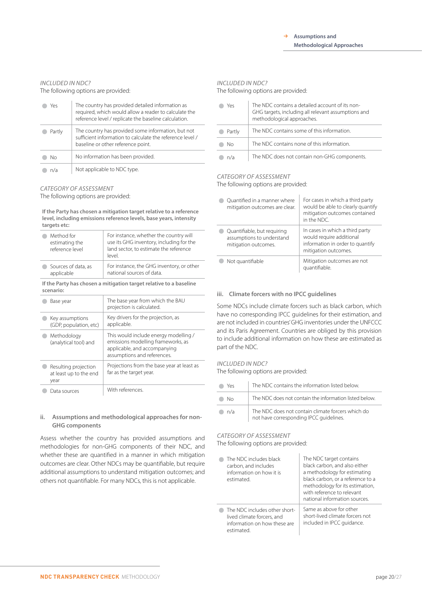#### *INCLUDED IN NDC?*

The following options are provided:

| Yρς    | The country has provided detailed information as<br>required, which would allow a reader to calculate the<br>reference level / replicate the baseline calculation. |
|--------|--------------------------------------------------------------------------------------------------------------------------------------------------------------------|
| Partly | The country has provided some information, but not<br>sufficient information to calculate the reference level /<br>baseline or other reference point.              |
| Nο     | No information has been provided.                                                                                                                                  |
| n/a    | Not applicable to NDC type.                                                                                                                                        |

#### *CATEGORY OF ASSESSMENT*

The following options are provided:

**If the Party has chosen a mitigation target relative to a reference level, including emissions reference levels, base years, intensity targets etc:**

| Method for<br>estimating the<br>reference level | For instance, whether the country will<br>use its GHG inventory, including for the<br>land sector, to estimate the reference<br>level. |
|-------------------------------------------------|----------------------------------------------------------------------------------------------------------------------------------------|
| Sources of data, as                             | For instance, the GHG inventory, or other                                                                                              |
| applicable                                      | national sources of data.                                                                                                              |

**If the Party has chosen a mitigation target relative to a baseline scenario:** 

| Base year                                              | The base year from which the BAU<br>projection is calculated.                                                                              |
|--------------------------------------------------------|--------------------------------------------------------------------------------------------------------------------------------------------|
| Key assumptions<br>(GDP, population, etc)              | Key drivers for the projection, as<br>applicable.                                                                                          |
| Methodology<br>(analytical tool) and                   | This would include energy modelling /<br>emissions modelling frameworks, as<br>applicable, and accompanying<br>assumptions and references. |
| Resulting projection<br>at least up to the end<br>year | Projections from the base year at least as<br>far as the target year.                                                                      |
| Data sources                                           | With references.                                                                                                                           |

#### **ii. Assumptions and methodological approaches for non-GHG components**

Assess whether the country has provided assumptions and methodologies for non-GHG components of their NDC, and whether these are quantified in a manner in which mitigation outcomes are clear. Other NDCs may be quantifiable, but require additional assumptions to understand mitigation outcomes; and others not quantifiable. For many NDCs, this is not applicable.

#### *INCLUDED IN NDC?*

The following options are provided:

| Yes    | The NDC contains a detailed account of its non-<br>GHG targets, including all relevant assumptions and<br>methodological approaches. |
|--------|--------------------------------------------------------------------------------------------------------------------------------------|
| Partly | The NDC contains some of this information.                                                                                           |
| Nο     | The NDC contains none of this information.                                                                                           |
| n/a    | The NDC does not contain non-GHG components.                                                                                         |

### *CATEGORY OF ASSESSMENT*

The following options are provided:

| Quantified in a manner where<br>mitigation outcomes are clear.                   | For cases in which a third party<br>would be able to clearly quantify<br>mitigation outcomes contained<br>in the NDC.   |
|----------------------------------------------------------------------------------|-------------------------------------------------------------------------------------------------------------------------|
| Quantifiable, but requiring<br>assumptions to understand<br>mitigation outcomes. | In cases in which a third party<br>would require additional<br>information in order to quantify<br>mitigation outcomes. |
| Not quantifiable                                                                 | Mitigation outcomes are not<br>quantifiable.                                                                            |

#### **iii. Climate forcers with no IPCC guidelines**

Some NDCs include climate forcers such as black carbon, which have no corresponding IPCC guidelines for their estimation, and are not included in countries' GHG inventories under the UNFCCC and its Paris Agreement. Countries are obliged by this provision to include additional information on how these are estimated as part of the NDC.

#### *INCLUDED IN NDC?*

The following options are provided:

| Yρς | The NDC contains the information listed below.                                               |
|-----|----------------------------------------------------------------------------------------------|
| Nο  | The NDC does not contain the information listed below.                                       |
| n/a | The NDC does not contain climate forcers which do<br>not have corresponding IPCC guidelines. |

#### *CATEGORY OF ASSESSMENT*

The following options are provided:

| The NDC includes black<br>carbon, and includes<br>information on how it is<br>estimated.                  | The NDC target contains<br>black carbon, and also either<br>a methodology for estimating<br>black carbon, or a reference to a<br>methodology for its estimation,<br>with reference to relevant<br>national information sources. |
|-----------------------------------------------------------------------------------------------------------|---------------------------------------------------------------------------------------------------------------------------------------------------------------------------------------------------------------------------------|
| The NDC includes other short-<br>lived climate forcers, and<br>information on how these are<br>estimated. | Same as above for other<br>short-lived climate forcers not<br>included in IPCC quidance.                                                                                                                                        |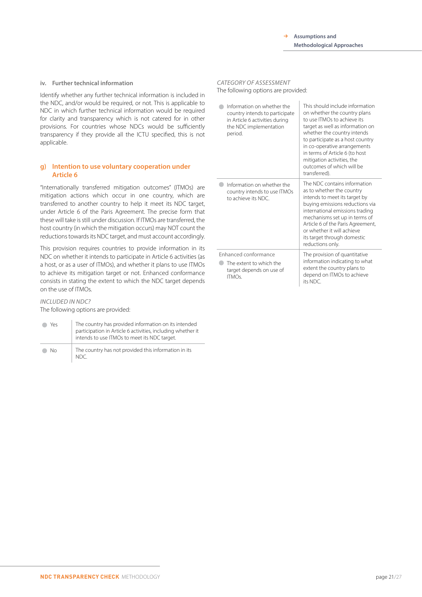#### **iv. Further technical information**

Identify whether any further technical information is included in the NDC, and/or would be required, or not. This is applicable to NDC in which further technical information would be required for clarity and transparency which is not catered for in other provisions. For countries whose NDCs would be sufficiently transparency if they provide all the ICTU specified, this is not applicable.

#### **g) Intention to use voluntary cooperation under Article 6**

"Internationally transferred mitigation outcomes" (ITMOs) are mitigation actions which occur in one country, which are transferred to another country to help it meet its NDC target, under Article 6 of the Paris Agreement. The precise form that these will take is still under discussion. If ITMOs are transferred, the host country (in which the mitigation occurs) may NOT count the reductions towards its NDC target, and must account accordingly.

This provision requires countries to provide information in its NDC on whether it intends to participate in Article 6 activities (as a host, or as a user of ITMOs), and whether it plans to use ITMOs to achieve its mitigation target or not. Enhanced conformance consists in stating the extent to which the NDC target depends on the use of ITMOs.

#### *INCLUDED IN NDC?* The following options are provided:

| Yeς | The country has provided information on its intended<br>participation in Article 6 activities, including whether it<br>intends to use ITMOs to meet its NDC target. |
|-----|---------------------------------------------------------------------------------------------------------------------------------------------------------------------|
| Nο  | The country has not provided this information in its<br>NDC                                                                                                         |

### *CATEGORY OF ASSESSMENT*

The following options are provided:

| Information on whether the<br>country intends to participate<br>in Article 6 activities during<br>the NDC implementation<br>period. | This should include information<br>on whether the country plans<br>to use ITMOs to achieve its<br>target as well as information on<br>whether the country intends<br>to participate as a host country<br>in co-operative arrangements<br>in terms of Article 6 (to host<br>mitigation activities, the<br>outcomes of which will be<br>transferred). |
|-------------------------------------------------------------------------------------------------------------------------------------|-----------------------------------------------------------------------------------------------------------------------------------------------------------------------------------------------------------------------------------------------------------------------------------------------------------------------------------------------------|
| Information on whether the<br>country intends to use ITMOs<br>to achieve its NDC.                                                   | The NDC contains information<br>as to whether the country<br>intends to meet its target by<br>buying emissions reductions via<br>international emissions trading<br>mechanisms set up in terms of<br>Article 6 of the Paris Agreement,<br>or whether it will achieve<br>its target through domestic<br>reductions only.                             |
| Enhanced conformance<br>The extent to which the<br>target depends on use of<br><b>ITMOs.</b>                                        | The provision of quantitative<br>information indicating to what<br>extent the country plans to<br>depend on ITMOs to achieve<br>its NDC.                                                                                                                                                                                                            |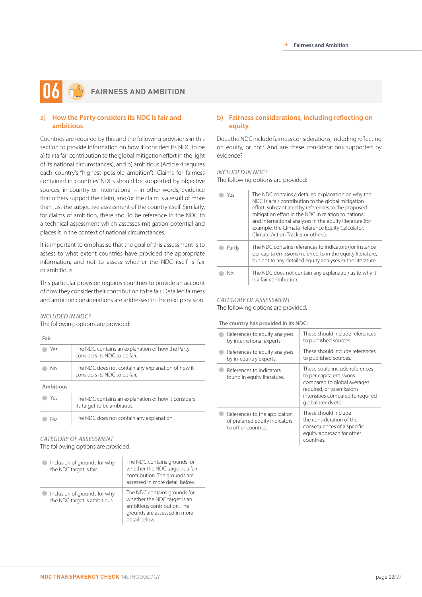## **FAIRNESS AND AMBITION 06**

#### **a) How the Party considers its NDC is fair and ambitious**

Countries are required by this and the following provisions in this section to provide information on how it considers its NDC to be a) fair (a fair contribution to the global mitigation effort in the light of its national circumstances), and b) ambitious (Article 4 requires each country's "highest possible ambition"). Claims for fairness contained in countries' NDCs should be supported by objective sources, in-country or international – in other words, evidence that others support the claim, and/or the claim is a result of more than just the subjective assessment of the country itself. Similarly, for claims of ambition, there should be reference in the NDC to a technical assessment which assesses mitigation potential and places it in the context of national circumstances.

It is important to emphasise that the goal of this assessment is to assess to what extent countries have provided the appropriate information, and not to assess whether the NDC itself is fair or ambitious.

This particular provision requires countries to provide an account of how they consider their contribution to be fair. Detailed fairness and ambition considerations are addressed in the next provision.

#### *INCLUDED IN NDC?*

The following options are provided:

**Fair**

| Yρς              | The NDC contains an explanation of how the Party<br>considers its NDC to be fair.   |
|------------------|-------------------------------------------------------------------------------------|
| Nο               | The NDC does not contain any explanation of how it<br>considers its NDC to be fair. |
| <b>Ambitious</b> |                                                                                     |
| Yes              | The NDC contains an explanation of how it considers<br>its target to be ambitious.  |
| Nο               | The NDC does not contain any explanation.                                           |

#### *CATEGORY OF ASSESSMENT* The following options are provided:

| Inclusion of grounds for why<br>the NDC target is fair.      | The NDC contains grounds for<br>whether the NDC target is a fair<br>contribution. The grounds are<br>assessed in more detail below.          |
|--------------------------------------------------------------|----------------------------------------------------------------------------------------------------------------------------------------------|
| Inclusion of grounds for why<br>the NDC target is ambitious. | The NDC contains grounds for<br>whether the NDC target is an<br>ambitious contribution. The<br>grounds are assessed in more<br>detail below. |

#### **b) Fairness considerations, including reflecting on equity**

Does the NDC include fairness considerations, including reflecting on equity, or not? And are these considerations supported by evidence?

#### *INCLUDED IN NDC?*

The following options are provided:

| Yρς    | The NDC contains a detailed explanation on why the<br>NDC is a fair contribution to the global mitigation<br>effort, substantiated by references to the proposed<br>mitigation effort in the NDC in relation to national<br>and international analyses in the equity literature (for<br>example, the Climate Reference Equity Calculator,<br>Climate Action Tracker or others). |
|--------|---------------------------------------------------------------------------------------------------------------------------------------------------------------------------------------------------------------------------------------------------------------------------------------------------------------------------------------------------------------------------------|
| Partly | The NDC contains references to indicators (for instance<br>per capita emissions) referred to in the equity literature,<br>but not to any detailed equity analyses in the literature.                                                                                                                                                                                            |
| Nο     | The NDC does not contain any explanation as to why it<br>is a fair contribution.                                                                                                                                                                                                                                                                                                |

#### *CATEGORY OF ASSESSMENT* The following options are provided:

#### **The country has provided in its NDC:**

| References to equity analyses                                                          | These should include references                                                                                                                                                 |
|----------------------------------------------------------------------------------------|---------------------------------------------------------------------------------------------------------------------------------------------------------------------------------|
| by international experts.                                                              | to published sources.                                                                                                                                                           |
| References to equity analyses                                                          | These should include references                                                                                                                                                 |
| by in-country experts.                                                                 | to published sources.                                                                                                                                                           |
| References to indicators<br>found in equity literature.                                | These could include references<br>to per capita emissions<br>compared to global averages<br>required, or to emissions<br>intensities compared to required<br>global trends etc. |
| References to the application<br>of preferred equity indicators<br>to other countries. | These should include<br>the consideration of the<br>consequences of a specific<br>equity approach for other<br>countries.                                                       |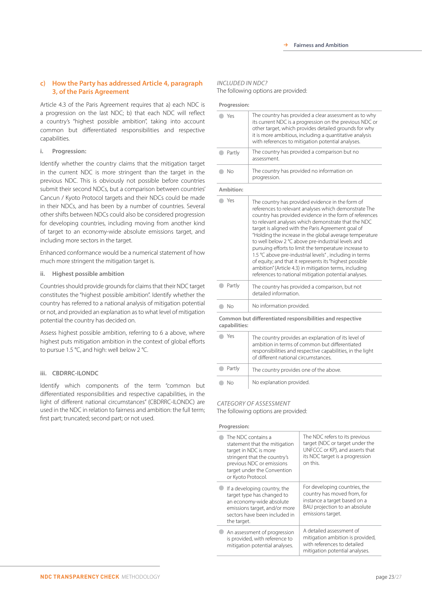#### **c) How the Party has addressed Article 4, paragraph 3, of the Paris Agreement**

Article 4.3 of the Paris Agreement requires that a) each NDC is a progression on the last NDC; b) that each NDC will reflect a country's "highest possible ambition", taking into account common but differentiated responsibilities and respective capabilities.

#### **i. Progression:**

Identify whether the country claims that the mitigation target in the current NDC is more stringent than the target in the previous NDC. This is obviously not possible before countries submit their second NDCs, but a comparison between countries' Cancun / Kyoto Protocol targets and their NDCs could be made in their NDCs, and has been by a number of countries. Several other shifts between NDCs could also be considered progression for developing countries, including moving from another kind of target to an economy-wide absolute emissions target, and including more sectors in the target.

Enhanced conformance would be a numerical statement of how much more stringent the mitigation target is.

#### **ii. Highest possible ambition**

Countries should provide grounds for claims that their NDC target constitutes the "highest possible ambition". Identify whether the country has referred to a national analysis of mitigation potential or not, and provided an explanation as to what level of mitigation potential the country has decided on.

Assess highest possible ambition, referring to 6 a above, where highest puts mitigation ambition in the context of global efforts to pursue 1.5 °C, and high: well below 2 °C.

#### **iii. CBDRRC-ILONDC**

Identify which components of the term "common but differentiated responsibilities and respective capabilities, in the light of different national circumstances" (CBDRRC-ILONDC) are used in the NDC in relation to fairness and ambition: the full term; first part; truncated; second part; or not used.

#### *INCLUDED IN NDC?* The following options are provided:

| Progression:  |                                                                                                                                                                                                                                                                                                                                                                                                                                                                                                                                                                                                                                                                                                      |
|---------------|------------------------------------------------------------------------------------------------------------------------------------------------------------------------------------------------------------------------------------------------------------------------------------------------------------------------------------------------------------------------------------------------------------------------------------------------------------------------------------------------------------------------------------------------------------------------------------------------------------------------------------------------------------------------------------------------------|
| Yes           | The country has provided a clear assessment as to why<br>its current NDC is a progression on the previous NDC or<br>other target, which provides detailed grounds for why<br>it is more ambitious, including a quantitative analysis<br>with references to mitigation potential analyses.                                                                                                                                                                                                                                                                                                                                                                                                            |
| Partly        | The country has provided a comparison but no<br>assessment.                                                                                                                                                                                                                                                                                                                                                                                                                                                                                                                                                                                                                                          |
| <b>No</b>     | The country has provided no information on<br>progression.                                                                                                                                                                                                                                                                                                                                                                                                                                                                                                                                                                                                                                           |
| Ambition:     |                                                                                                                                                                                                                                                                                                                                                                                                                                                                                                                                                                                                                                                                                                      |
| Yes           | The country has provided evidence in the form of<br>references to relevant analyses which demonstrate The<br>country has provided evidence in the form of references<br>to relevant analyses which demonstrate that the NDC<br>target is aligned with the Paris Agreement goal of<br>"Holding the increase in the global average temperature<br>to well below 2 °C above pre-industrial levels and<br>pursuing efforts to limit the temperature increase to<br>1.5 °C above pre-industrial levels", including in terms<br>of equity; and that it represents its "highest possible<br>ambition" (Article 4.3) in mitigation terms, including<br>references to national mitigation potential analyses. |
| Partly        | The country has provided a comparison, but not<br>detailed information                                                                                                                                                                                                                                                                                                                                                                                                                                                                                                                                                                                                                               |
| No            | No information provided.                                                                                                                                                                                                                                                                                                                                                                                                                                                                                                                                                                                                                                                                             |
| capabilities: | Common but differentiated responsibilities and respective                                                                                                                                                                                                                                                                                                                                                                                                                                                                                                                                                                                                                                            |
| Yes           | The country provides an explanation of its level of<br>ambition in terms of common but differentiated<br>responsibilities and respective capabilities, in the light<br>of different national circumstances.                                                                                                                                                                                                                                                                                                                                                                                                                                                                                          |
| Partly        | The country provides one of the above.                                                                                                                                                                                                                                                                                                                                                                                                                                                                                                                                                                                                                                                               |
| Nο            | No explanation provided.                                                                                                                                                                                                                                                                                                                                                                                                                                                                                                                                                                                                                                                                             |

#### *CATEGORY OF ASSESSMENT*

The following options are provided:

#### **Progression:**

| The NDC contains a<br>statement that the mitigation<br>target in NDC is more<br>stringent that the country's<br>previous NDC or emissions<br>target under the Convention<br>or Kyoto Protocol. | The NDC refers to its previous<br>target (NDC or target under the<br>UNFCCC or KP), and asserts that<br>its NDC target is a progression<br>on this. |
|------------------------------------------------------------------------------------------------------------------------------------------------------------------------------------------------|-----------------------------------------------------------------------------------------------------------------------------------------------------|
| If a developing country, the<br>target type has changed to<br>an economy-wide absolute<br>emissions target, and/or more<br>sectors have been included in<br>the target.                        | For developing countries, the<br>country has moved from, for<br>instance a target based on a<br>BAU projection to an absolute<br>emissions target.  |
| An assessment of progression<br>is provided, with reference to<br>mitigation potential analyses.                                                                                               | A detailed assessment of<br>mitigation ambition is provided,<br>with references to detailed<br>mitigation potential analyses.                       |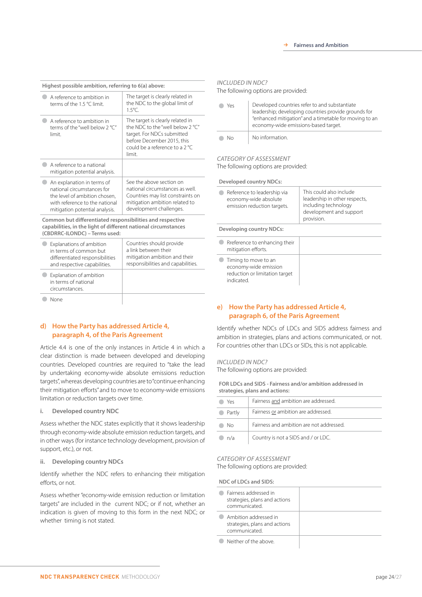| Highest possible ambition, referring to 6(a) above:                                                                                                           |                                                                                                                                                                                        |  |
|---------------------------------------------------------------------------------------------------------------------------------------------------------------|----------------------------------------------------------------------------------------------------------------------------------------------------------------------------------------|--|
| A reference to ambition in<br>terms of the 1.5 °C limit.                                                                                                      | The target is clearly related in<br>the NDC to the global limit of<br>$1.5^{\circ}$ C.                                                                                                 |  |
| A reference to ambition in<br>terms of the "well below 2 °C"<br>limit.                                                                                        | The target is clearly related in<br>the NDC to the "well below $2^{\circ}$ C"<br>target. For NDCs submitted<br>before December 2015, this<br>could be a reference to a 2 °C.<br>limit. |  |
| A reference to a national<br>mitigation potential analysis.                                                                                                   |                                                                                                                                                                                        |  |
| An explanation in terms of<br>national circumstances for<br>the level of ambition chosen,<br>with reference to the national<br>mitigation potential analysis. | See the above section on<br>national circumstances as well.<br>Countries may list constraints on<br>mitigation ambition related to<br>development challenges.                          |  |
| Common but differentiated responsibilities and respective<br>capabilities, in the light of different national circumstances<br>(CBDRRC-ILONDC) - Terms used:  |                                                                                                                                                                                        |  |
|                                                                                                                                                               |                                                                                                                                                                                        |  |

| Explanations of ambition<br>in terms of common but                | differentiated responsibilities<br>and respective capabilities. | Countries should provide<br>a link between their<br>mitigation ambition and their<br>responsibilities and capabilities. |
|-------------------------------------------------------------------|-----------------------------------------------------------------|-------------------------------------------------------------------------------------------------------------------------|
| Explanation of ambition<br>in terms of national<br>circumstances. |                                                                 |                                                                                                                         |
|                                                                   |                                                                 |                                                                                                                         |

#### **d) How the Party has addressed Article 4, paragraph 4, of the Paris Agreement**

Article 4.4 is one of the only instances in Article 4 in which a clear distinction is made between developed and developing countries. Developed countries are required to "take the lead by undertaking economy-wide absolute emissions reduction targets", whereas developing countries are to "continue enhancing their mitigation efforts" and to move to economy-wide emissions limitation or reduction targets over time.

#### **i. Developed country NDC**

Assess whether the NDC states explicitly that it shows leadership through economy-wide absolute emission reduction targets, and in other ways (for instance technology development, provision of support, etc.), or not.

#### **ii. Developing country NDCs**

Identify whether the NDC refers to enhancing their mitigation efforts, or not.

Assess whether "economy-wide emission reduction or limitation targets" are included in the current NDC; or if not, whether an indication is given of moving to this form in the next NDC; or whether timing is not stated.

#### *INCLUDED IN NDC?*

The following options are provided:

| Yes | Developed countries refer to and substantiate<br>leadership; developing countries provide grounds for<br>"enhanced mitigation" and a timetable for moving to an<br>economy-wide emissions-based target. |
|-----|---------------------------------------------------------------------------------------------------------------------------------------------------------------------------------------------------------|
| Nη  | No information.                                                                                                                                                                                         |

#### *CATEGORY OF ASSESSMENT* The following options are provided:

**Developed country NDCs:**

| This could also include<br>Reference to leadership via<br>leadership in other respects,<br>economy-wide absolute<br>including technology<br>emission reduction targets.<br>development and support<br>provision. |
|------------------------------------------------------------------------------------------------------------------------------------------------------------------------------------------------------------------|
|------------------------------------------------------------------------------------------------------------------------------------------------------------------------------------------------------------------|

**Developing country NDCs:**

| Rreference to enhancing their<br>mitigation efforts.                                         |  |
|----------------------------------------------------------------------------------------------|--|
| Timing to move to an<br>economy-wide emission<br>reduction or limitation target<br>indicated |  |

#### **e) How the Party has addressed Article 4, paragraph 6, of the Paris Agreement**

Identify whether NDCs of LDCs and SIDS address fairness and ambition in strategies, plans and actions communicated, or not. For countries other than LDCs or SIDs, this is not applicable.

#### *INCLUDED IN NDC?*

The following options are provided:

**FOR LDCs and SIDS - Fairness and/or ambition addressed in strategies, plans and actions:**

| Yes              | Fairness and ambition are addressed.     |
|------------------|------------------------------------------|
| Partly<br>$\sim$ | Fairness or ambition are addressed.      |
| Nο               | Fairness and ambition are not addressed. |
| n/a              | Country is not a SIDS and / or LDC.      |

#### *CATEGORY OF ASSESSMENT*

The following options are provided:

**NDC of LDCs and SIDS:**

| Fairness addressed in<br>strategies, plans and actions<br>communicated. |  |
|-------------------------------------------------------------------------|--|
| Ambition addressed in<br>strategies, plans and actions<br>communicated. |  |
| Neither of the above                                                    |  |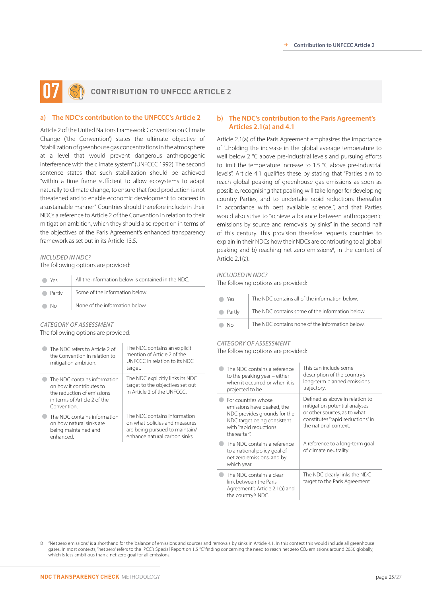## **CONTRIBUTION TO UNFCCC ARTICLE 2 07**

#### **a) The NDC's contribution to the UNFCCC's Article 2**

Article 2 of the United Nations Framework Convention on Climate Change ('the Convention') states the ultimate objective of "stabilization of greenhouse gas concentrations in the atmosphere at a level that would prevent dangerous anthropogenic interference with the climate system" (UNFCCC 1992). The second sentence states that such stabilization should be achieved "within a time frame sufficient to allow ecosystems to adapt naturally to climate change, to ensure that food production is not threatened and to enable economic development to proceed in a sustainable manner". Countries should therefore include in their NDCs a reference to Article 2 of the Convention in relation to their mitigation ambition, which they should also report on in terms of the objectives of the Paris Agreement's enhanced transparency framework as set out in its Article 13.5.

#### *INCLUDED IN NDC?*

The following options are provided:

| Yes      | All the information below is contained in the NDC. |
|----------|----------------------------------------------------|
| • Partly | Some of the information below.                     |
| - No     | None of the information below.                     |

### *CATEGORY OF ASSESSMENT*

The following options are provided:

| The NDC refers to Article 2 of<br>the Convention in relation to<br>mitigation ambition.                                               | The NDC contains an explicit<br>mention of Article 2 of the<br>UNFCCC in relation to its NDC.<br>target.                        |
|---------------------------------------------------------------------------------------------------------------------------------------|---------------------------------------------------------------------------------------------------------------------------------|
| The NDC contains information<br>on how it contributes to<br>the reduction of emissions<br>in terms of Article 2 of the<br>Convention. | The NDC explicitly links its NDC<br>target to the objectives set out<br>in Article 2 of the UNECCC                              |
| The NDC contains information<br>on how natural sinks are<br>being maintained and<br>enhanced                                          | The NDC contains information<br>on what policies and measures<br>are being pursued to maintain/<br>enhance natural carbon sinks |

#### **b) The NDC's contribution to the Paris Agreement's Articles 2.1(a) and 4.1**

Article 2.1(a) of the Paris Agreement emphasizes the importance of "...holding the increase in the global average temperature to well below 2 °C above pre-industrial levels and pursuing efforts to limit the temperature increase to 1.5 °C above pre-industrial levels". Article 4.1 qualifies these by stating that "Parties aim to reach global peaking of greenhouse gas emissions as soon as possible, recognising that peaking will take longer for developing country Parties, and to undertake rapid reductions thereafter in accordance with best available science..", and that Parties would also strive to "achieve a balance between anthropogenic emissions by source and removals by sinks" in the second half of this century. This provision therefore requests countries to explain in their NDCs how their NDCs are contributing to a) global peaking and b) reaching net zero emissions<sup>8</sup>, in the context of Article 2.1(a).

#### *INCLUDED IN NDC?*

The following options are provided:

| Yρς      | The NDC contains all of the information below.  |
|----------|-------------------------------------------------|
| • Partly | The NDC contains some of the information below. |
| Nη       | The NDC contains none of the information below. |

#### *CATEGORY OF ASSESSMENT*

The following options are provided:

| The NDC contains a reference<br>to the peaking year – either<br>when it occurred or when it is<br>projected to be.                                         | This can include some<br>description of the country's<br>long-term planned emissions<br>trajectory.                                                            |
|------------------------------------------------------------------------------------------------------------------------------------------------------------|----------------------------------------------------------------------------------------------------------------------------------------------------------------|
| For countries whose<br>emissions have peaked, the<br>NDC provides grounds for the<br>NDC target being consistent<br>with "rapid reductions<br>thereafter". | Defined as above in relation to<br>mitigation potential analyses<br>or other sources, as to what<br>constitutes "rapid reductions" in<br>the national context. |
| The NDC contains a reference<br>to a national policy goal of<br>net zero emissions, and by<br>which year.                                                  | A reference to a long-term goal<br>of climate neutrality.                                                                                                      |
| The NDC contains a clear<br>link between the Paris<br>Agreement's Article 2.1(a) and<br>the country's NDC.                                                 | The NDC clearly links the NDC<br>target to the Paris Agreement.                                                                                                |

8 "Net zero emissions" is a shorthand for the 'balance' of emissions and sources and removals by sinks in Article 4.1. In this context this would include all greenhouse gases. In most contexts, "net zero" refers to the IPCC's Special Report on 1.5 °C' finding concerning the need to reach net zero CO2 emissions around 2050 globally, which is less ambitious than a net zero goal for all emissions.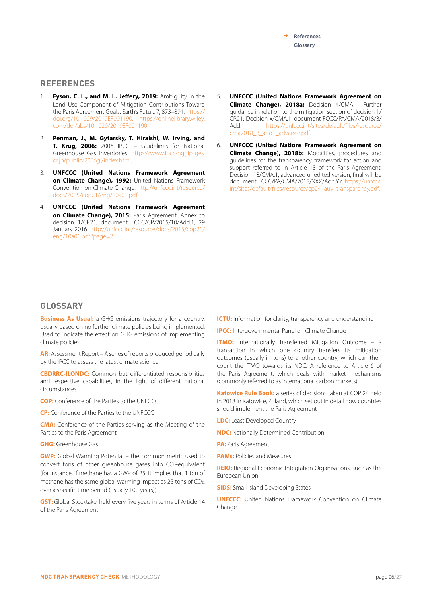R **References Glossary**

#### **REFERENCES**

- 1. **Fyson, C. L., and M. L. Jeffery, 2019:** Ambiguity in the Land Use Component of Mitigation Contributions Toward the Paris Agreement Goals. Earth's Futur., 7, 873–891, https:// doi.org/10.1029/2019EF001190. https://onlinelibrary.wiley. com/doi/abs/10.1029/2019EF001190.
- 2. **Penman, J., M. Gytarsky, T. Hiraishi, W. Irving, and T. Krug, 2006:** 2006 IPCC – Guidelines for National Greenhouse Gas Inventories. https://www.ipcc-nggip.iges. or.jp/public/2006gl/index.html.
- 3. **UNFCCC (United Nations Framework Agreement on Climate Change), 1992:** United Nations Framework Convention on Climate Change. http://unfccc.int/resource/ docs/2015/cop21/eng/10a01.pdf.
- 4. **UNFCCC (United Nations Framework Agreement**  on **Climate Change), 2015:** Paris Agreement. Annex to decision 1/CP.21, document FCCC/CP/2015/10/Add.1, 29 January 2016. http://unfccc.int/resource/docs/2015/cop21/ eng/10a01.pdf#page=2.
- 5. **UNFCCC (United Nations Framework Agreement on Climate Change), 2018a:** Decision 4/CMA.1: Further guidance in relation to the mitigation section of decision 1/ CP.21. Decision x/CMA.1, document FCCC/PA/CMA/2018/3/ Add.1. https://unfccc.int/sites/default/files/resource/ cma2018\_3\_add1\_advance.pdf.
- 6. **UNFCCC (United Nations Framework Agreement on Climate Change), 2018b:** Modalities, procedures and guidelines for the transparency framework for action and support referred to in Article 13 of the Paris Agreement. Decision 18/CMA.1, advanced unedited version, final will be document FCCC/PA/CMA/2018/XXX/Add.YY. https://unfccc. int/sites/default/files/resource/cp24\_auv\_transparency.pdf.

### **GLOSSARY**

**Business As Usual:** a GHG emissions trajectory for a country, usually based on no further climate policies being implemented. Used to indicate the effect on GHG emissions of implementing climate policies

**AR:** Assessment Report – A series of reports produced periodically by the IPCC to assess the latest climate science

**CBDRRC-ILONDC:** Common but differentiated responsibilities and respective capabilities, in the light of different national circumstances

**COP:** Conference of the Parties to the UNFCCC

**CP:** Conference of the Parties to the UNFCCC

**CMA:** Conference of the Parties serving as the Meeting of the Parties to the Paris Agreement

#### **GHG:** Greenhouse Gas

**GWP:** Global Warming Potential – the common metric used to convert tons of other greenhouse gases into CO2-equivalent (for instance, if methane has a GWP of 25, it implies that 1 ton of methane has the same global warming impact as 25 tons of CO2, over a specific time period (usually 100 years))

**GST:** Global Stocktake, held every five years in terms of Article 14 of the Paris Agreement

**ICTU:** Information for clarity, transparency and understanding

**IPCC:** Intergovernmental Panel on Climate Change

**ITMO:** Internationally Transferred Mitigation Outcome – a transaction in which one country transfers its mitigation outcomes (usually in tons) to another country, which can then count the ITMO towards its NDC. A reference to Article 6 of the Paris Agreement, which deals with market mechanisms (commonly referred to as international carbon markets).

**Katowice Rule Book:** a series of decisions taken at COP 24 held in 2018 in Katowice, Poland, which set out in detail how countries should implement the Paris Agreement

**LDC:** Least Developed Country

**NDC:** Nationally Determined Contribution

**PA:** Paris Agreement

**PAMs:** Policies and Measures

**REIO:** Regional Economic Integration Organisations, such as the European Union

**SIDS:** Small Island Developing States

**UNFCCC:** United Nations Framework Convention on Climate Change